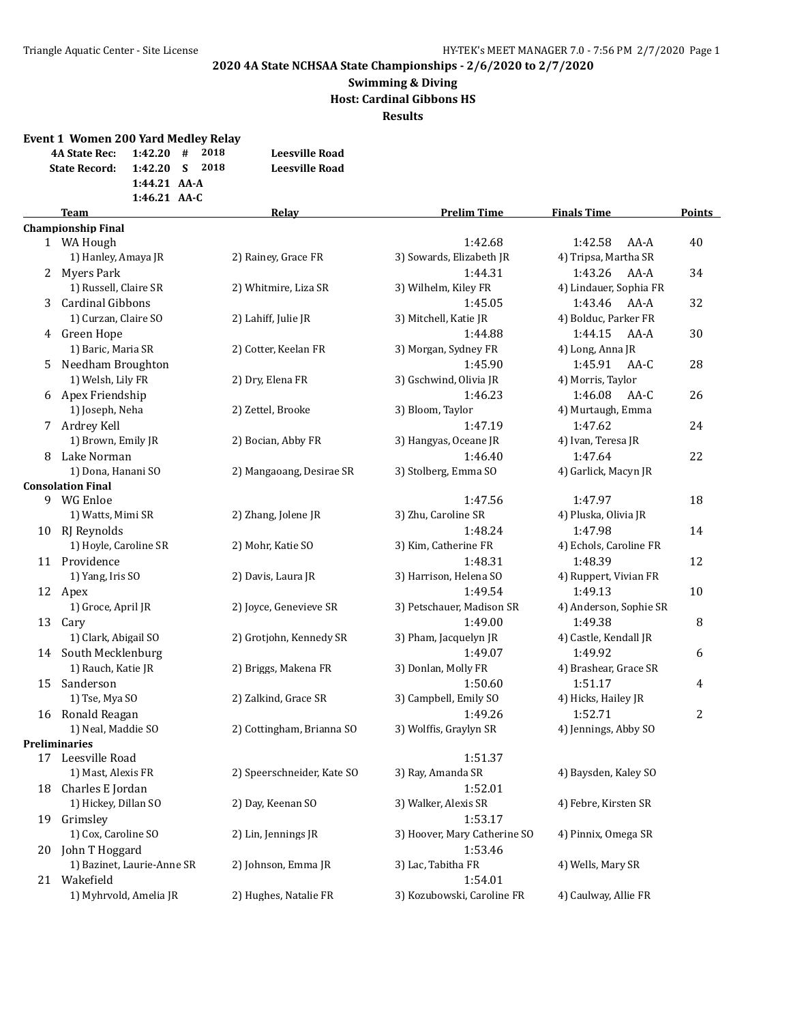#### **Swimming & Diving Host: Cardinal Gibbons HS Results**

|    | <b>Event 1 Women 200 Yard Medley Relay</b><br><b>4A State Rec:</b><br><b>State Record:</b> | 1:42.20<br>1:42.20<br>1:44.21 AA-A<br>1:46.21 AA-C | #<br>S | 2018<br>2018 | <b>Leesville Road</b><br><b>Leesville Road</b> |                              |                        |               |
|----|--------------------------------------------------------------------------------------------|----------------------------------------------------|--------|--------------|------------------------------------------------|------------------------------|------------------------|---------------|
|    | <b>Team</b>                                                                                |                                                    |        |              | Relay                                          | <b>Prelim Time</b>           | <b>Finals Time</b>     | <b>Points</b> |
|    | <b>Championship Final</b>                                                                  |                                                    |        |              |                                                |                              |                        |               |
|    | 1 WA Hough                                                                                 |                                                    |        |              |                                                | 1:42.68                      | 1:42.58<br>$AA-A$      | 40            |
|    | 1) Hanley, Amaya JR                                                                        |                                                    |        |              | 2) Rainey, Grace FR                            | 3) Sowards, Elizabeth JR     | 4) Tripsa, Martha SR   |               |
|    | 2 Myers Park                                                                               |                                                    |        |              |                                                | 1:44.31                      | 1:43.26<br>AA-A        | 34            |
|    | 1) Russell, Claire SR                                                                      |                                                    |        |              | 2) Whitmire, Liza SR                           | 3) Wilhelm, Kiley FR         | 4) Lindauer, Sophia FR |               |
|    | 3 Cardinal Gibbons                                                                         |                                                    |        |              |                                                | 1:45.05                      | 1:43.46<br>AA-A        | 32            |
|    | 1) Curzan, Claire SO                                                                       |                                                    |        |              | 2) Lahiff, Julie JR                            | 3) Mitchell, Katie JR        | 4) Bolduc, Parker FR   |               |
|    | 4 Green Hope                                                                               |                                                    |        |              |                                                | 1:44.88                      | 1:44.15<br>AA-A        | 30            |
|    | 1) Baric, Maria SR                                                                         |                                                    |        |              | 2) Cotter, Keelan FR                           | 3) Morgan, Sydney FR         | 4) Long, Anna JR       |               |
|    | 5 Needham Broughton                                                                        |                                                    |        |              |                                                | 1:45.90                      | 1:45.91<br>AA-C        | 28            |
|    | 1) Welsh, Lily FR                                                                          |                                                    |        |              | 2) Dry, Elena FR                               | 3) Gschwind, Olivia JR       | 4) Morris, Taylor      |               |
|    | 6 Apex Friendship                                                                          |                                                    |        |              |                                                | 1:46.23                      | 1:46.08<br>AA-C        | 26            |
|    | 1) Joseph, Neha                                                                            |                                                    |        |              | 2) Zettel, Brooke                              | 3) Bloom, Taylor             | 4) Murtaugh, Emma      |               |
|    | 7 Ardrey Kell                                                                              |                                                    |        |              |                                                | 1:47.19                      | 1:47.62                | 24            |
|    | 1) Brown, Emily JR                                                                         |                                                    |        |              | 2) Bocian, Abby FR                             | 3) Hangyas, Oceane JR        | 4) Ivan, Teresa JR     |               |
|    | 8 Lake Norman                                                                              |                                                    |        |              |                                                | 1:46.40                      | 1:47.64                | 22            |
|    | 1) Dona, Hanani SO                                                                         |                                                    |        |              | 2) Mangaoang, Desirae SR                       | 3) Stolberg, Emma SO         | 4) Garlick, Macyn JR   |               |
|    | <b>Consolation Final</b>                                                                   |                                                    |        |              |                                                |                              |                        |               |
|    | 9 WG Enloe                                                                                 |                                                    |        |              |                                                | 1:47.56                      | 1:47.97                | 18            |
|    | 1) Watts, Mimi SR                                                                          |                                                    |        |              | 2) Zhang, Jolene JR                            | 3) Zhu, Caroline SR          | 4) Pluska, Olivia JR   |               |
|    | 10 RJ Reynolds                                                                             |                                                    |        |              |                                                | 1:48.24                      | 1:47.98                | 14            |
|    | 1) Hoyle, Caroline SR                                                                      |                                                    |        |              | 2) Mohr, Katie SO                              | 3) Kim, Catherine FR         | 4) Echols, Caroline FR |               |
|    | 11 Providence                                                                              |                                                    |        |              |                                                | 1:48.31                      | 1:48.39                | 12            |
|    | 1) Yang, Iris SO                                                                           |                                                    |        |              | 2) Davis, Laura JR                             | 3) Harrison, Helena SO       | 4) Ruppert, Vivian FR  |               |
|    | 12 Apex                                                                                    |                                                    |        |              |                                                | 1:49.54                      | 1:49.13                | 10            |
|    | 1) Groce, April JR                                                                         |                                                    |        |              | 2) Joyce, Genevieve SR                         | 3) Petschauer, Madison SR    | 4) Anderson, Sophie SR |               |
|    | 13 Cary                                                                                    |                                                    |        |              |                                                | 1:49.00                      | 1:49.38                | 8             |
|    | 1) Clark, Abigail SO                                                                       |                                                    |        |              | 2) Grotjohn, Kennedy SR                        | 3) Pham, Jacquelyn JR        | 4) Castle, Kendall JR  |               |
|    | 14 South Mecklenburg                                                                       |                                                    |        |              |                                                | 1:49.07                      | 1:49.92                | 6             |
|    | 1) Rauch, Katie JR                                                                         |                                                    |        |              | 2) Briggs, Makena FR                           | 3) Donlan, Molly FR          | 4) Brashear, Grace SR  |               |
| 15 | Sanderson                                                                                  |                                                    |        |              |                                                | 1:50.60                      | 1:51.17                | 4             |
|    | 1) Tse, Mya SO                                                                             |                                                    |        |              | 2) Zalkind, Grace SR                           | 3) Campbell, Emily SO        | 4) Hicks, Hailey JR    |               |
| 16 | Ronald Reagan                                                                              |                                                    |        |              |                                                | 1:49.26                      | 1:52.71                | 2             |
|    | 1) Neal, Maddie SO                                                                         |                                                    |        |              | 2) Cottingham, Brianna SO                      | 3) Wolffis, Graylyn SR       | 4) Jennings, Abby SO   |               |
|    | <b>Preliminaries</b>                                                                       |                                                    |        |              |                                                |                              |                        |               |
|    | 17 Leesville Road                                                                          |                                                    |        |              |                                                | 1:51.37                      | 4) Baysden, Kaley SO   |               |
|    | 1) Mast, Alexis FR                                                                         |                                                    |        |              | 2) Speerschneider, Kate SO                     | 3) Ray, Amanda SR            |                        |               |
|    | 18 Charles E Jordan                                                                        |                                                    |        |              |                                                | 1:52.01                      |                        |               |
|    | 1) Hickey, Dillan SO                                                                       |                                                    |        |              | 2) Day, Keenan SO                              | 3) Walker, Alexis SR         | 4) Febre, Kirsten SR   |               |
|    | 19 Grimsley                                                                                |                                                    |        |              |                                                | 1:53.17                      |                        |               |
|    | 1) Cox, Caroline SO                                                                        |                                                    |        |              | 2) Lin, Jennings JR                            | 3) Hoover, Mary Catherine SO | 4) Pinnix, Omega SR    |               |
|    | 20 John T Hoggard                                                                          |                                                    |        |              |                                                | 1:53.46                      |                        |               |
|    | 1) Bazinet, Laurie-Anne SR                                                                 |                                                    |        |              | 2) Johnson, Emma JR                            | 3) Lac, Tabitha FR           | 4) Wells, Mary SR      |               |
|    | 21 Wakefield                                                                               |                                                    |        |              |                                                | 1:54.01                      |                        |               |
|    | 1) Myhrvold, Amelia JR                                                                     |                                                    |        |              | 2) Hughes, Natalie FR                          | 3) Kozubowski, Caroline FR   | 4) Caulway, Allie FR   |               |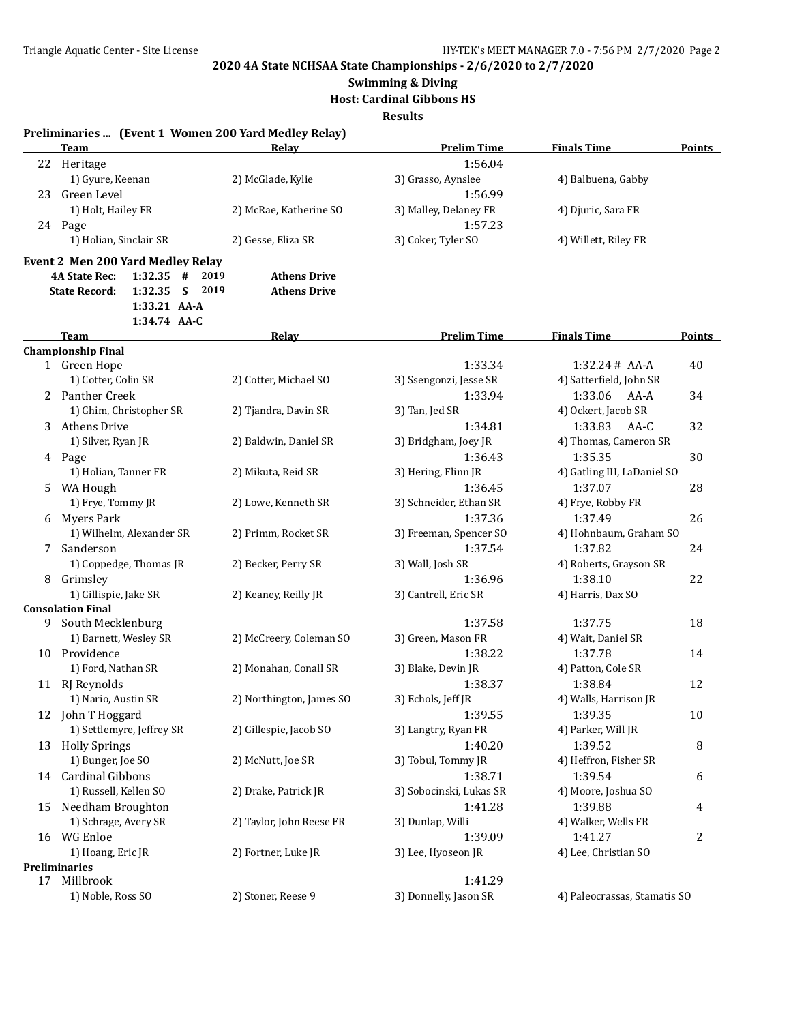**Swimming & Diving**

**Host: Cardinal Gibbons HS**

**Results**

|    | Preliminaries  (Event 1 Women 200 Yard Medley Relay) |                             |                         |                              |                |
|----|------------------------------------------------------|-----------------------------|-------------------------|------------------------------|----------------|
|    | Team                                                 | Relav                       | <b>Prelim Time</b>      | <b>Finals Time</b>           | Points         |
| 22 | Heritage                                             |                             | 1:56.04                 |                              |                |
|    | 1) Gyure, Keenan                                     | 2) McGlade, Kylie           | 3) Grasso, Aynslee      | 4) Balbuena, Gabby           |                |
| 23 | Green Level                                          |                             | 1:56.99                 |                              |                |
|    | 1) Holt, Hailey FR                                   | 2) McRae, Katherine SO      | 3) Malley, Delaney FR   | 4) Djuric, Sara FR           |                |
|    | 24 Page                                              |                             | 1:57.23                 |                              |                |
|    | 1) Holian, Sinclair SR                               | 2) Gesse, Eliza SR          | 3) Coker, Tyler SO      | 4) Willett, Riley FR         |                |
|    | <b>Event 2 Men 200 Yard Medley Relay</b>             |                             |                         |                              |                |
|    | 1:32.35<br>#<br><b>4A State Rec:</b>                 | 2019<br><b>Athens Drive</b> |                         |                              |                |
|    | S<br><b>State Record:</b><br>1:32.35                 | 2019<br><b>Athens Drive</b> |                         |                              |                |
|    | 1:33.21 AA-A                                         |                             |                         |                              |                |
|    | 1:34.74 AA-C                                         |                             |                         |                              |                |
|    | Team                                                 | <u>Relay</u>                | <b>Prelim Time</b>      | <b>Finals Time</b>           | Points         |
|    | <b>Championship Final</b>                            |                             |                         |                              |                |
|    | 1 Green Hope                                         |                             | 1:33.34                 | $1:32.24# AA-A$              | 40             |
|    | 1) Cotter, Colin SR                                  | 2) Cotter, Michael SO       | 3) Ssengonzi, Jesse SR  | 4) Satterfield, John SR      |                |
|    | 2 Panther Creek                                      |                             | 1:33.94                 | 1:33.06<br>AA-A              | 34             |
|    | 1) Ghim, Christopher SR                              | 2) Tjandra, Davin SR        | 3) Tan, Jed SR          | 4) Ockert, Jacob SR          |                |
| 3  | Athens Drive                                         |                             | 1:34.81                 | 1:33.83<br>AA-C              | 32             |
|    | 1) Silver, Ryan JR                                   | 2) Baldwin, Daniel SR       | 3) Bridgham, Joey JR    | 4) Thomas, Cameron SR        |                |
|    | 4 Page                                               |                             | 1:36.43                 | 1:35.35                      | 30             |
|    | 1) Holian, Tanner FR                                 | 2) Mikuta, Reid SR          | 3) Hering, Flinn JR     | 4) Gatling III, LaDaniel SO  |                |
|    | 5 WA Hough                                           |                             | 1:36.45                 | 1:37.07                      | 28             |
|    | 1) Frye, Tommy JR                                    | 2) Lowe, Kenneth SR         | 3) Schneider, Ethan SR  | 4) Frye, Robby FR            |                |
|    | 6 Myers Park                                         |                             | 1:37.36                 | 1:37.49                      | 26             |
|    | 1) Wilhelm, Alexander SR                             | 2) Primm, Rocket SR         | 3) Freeman, Spencer SO  | 4) Hohnbaum, Graham SO       |                |
| 7  | Sanderson                                            |                             | 1:37.54                 | 1:37.82                      | 24             |
|    | 1) Coppedge, Thomas JR                               | 2) Becker, Perry SR         | 3) Wall, Josh SR        | 4) Roberts, Grayson SR       |                |
| 8  | Grimsley                                             |                             | 1:36.96                 | 1:38.10                      | 22             |
|    | 1) Gillispie, Jake SR                                | 2) Keaney, Reilly JR        | 3) Cantrell, Eric SR    | 4) Harris, Dax SO            |                |
|    | <b>Consolation Final</b>                             |                             |                         |                              |                |
|    | 9 South Mecklenburg                                  |                             | 1:37.58                 | 1:37.75                      | 18             |
|    | 1) Barnett, Wesley SR                                | 2) McCreery, Coleman SO     | 3) Green, Mason FR      | 4) Wait, Daniel SR           |                |
|    | 10 Providence                                        |                             | 1:38.22                 | 1:37.78                      | 14             |
|    | 1) Ford, Nathan SR                                   | 2) Monahan, Conall SR       | 3) Blake, Devin JR      | 4) Patton, Cole SR           |                |
|    | 11 RJ Reynolds                                       |                             | 1:38.37                 | 1:38.84                      | 12             |
|    | 1) Nario, Austin SR                                  | 2) Northington, James SO    | 3) Echols, Jeff JR      | 4) Walls, Harrison JR        |                |
|    | 12 John T Hoggard                                    |                             | 1:39.55                 | 1:39.35                      | 10             |
|    | 1) Settlemyre, Jeffrey SR                            | 2) Gillespie, Jacob SO      | 3) Langtry, Ryan FR     | 4) Parker, Will JR           |                |
|    | 13 Holly Springs                                     |                             | 1:40.20                 | 1:39.52                      | 8              |
|    | 1) Bunger, Joe SO                                    | 2) McNutt, Joe SR           | 3) Tobul, Tommy JR      | 4) Heffron, Fisher SR        |                |
|    | 14 Cardinal Gibbons                                  |                             | 1:38.71                 | 1:39.54                      | 6              |
|    | 1) Russell, Kellen SO                                | 2) Drake, Patrick JR        | 3) Sobocinski, Lukas SR | 4) Moore, Joshua SO          |                |
|    | 15 Needham Broughton                                 |                             | 1:41.28                 | 1:39.88                      | 4              |
|    | 1) Schrage, Avery SR                                 | 2) Taylor, John Reese FR    | 3) Dunlap, Willi        | 4) Walker, Wells FR          |                |
|    | 16 WG Enloe                                          |                             | 1:39.09                 | 1:41.27                      | $\overline{c}$ |
|    | 1) Hoang, Eric JR                                    | 2) Fortner, Luke JR         | 3) Lee, Hyoseon JR      | 4) Lee, Christian SO         |                |
|    | Preliminaries                                        |                             |                         |                              |                |
|    | 17 Millbrook                                         |                             | 1:41.29                 |                              |                |
|    | 1) Noble, Ross SO                                    | 2) Stoner, Reese 9          | 3) Donnelly, Jason SR   | 4) Paleocrassas, Stamatis SO |                |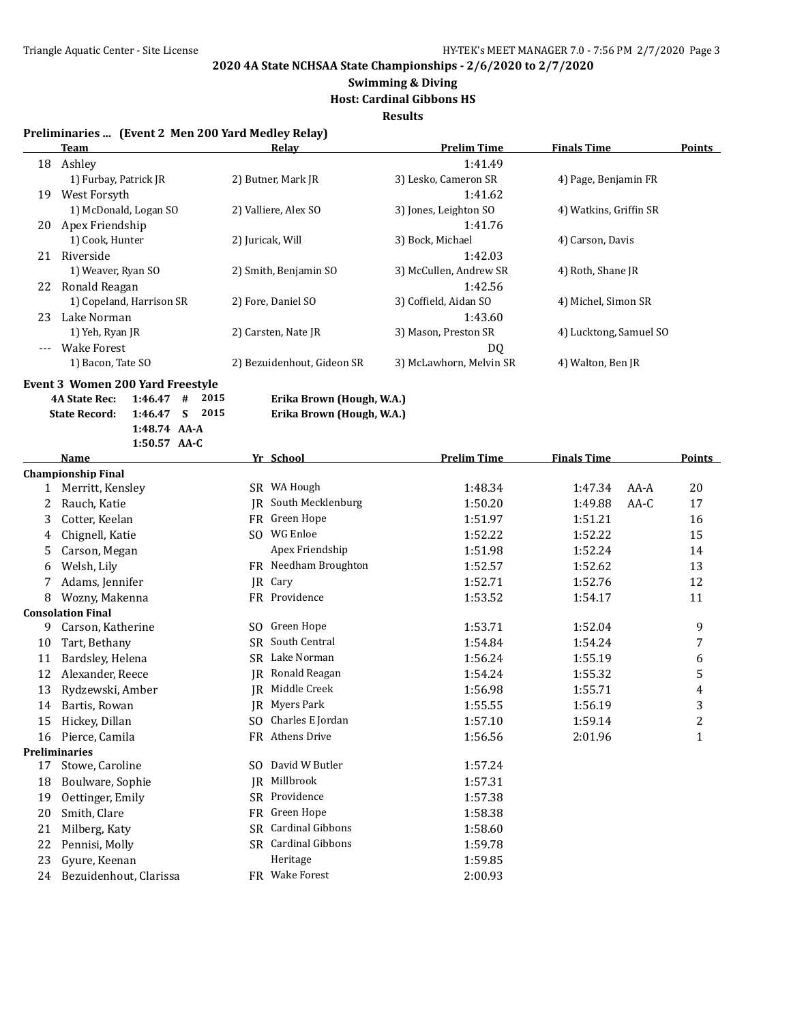### **Swimming & Diving Host: Cardinal Gibbons HS**

**Results**

#### **Preliminaries ... (Event 2 Men 200 Yard Medley Relay)**

|       | <b>Team</b>              | Relay                      | <b>Prelim Time</b>      | <b>Finals Time</b>     | <b>Points</b> |
|-------|--------------------------|----------------------------|-------------------------|------------------------|---------------|
| 18    | Ashley                   |                            | 1:41.49                 |                        |               |
|       | 1) Furbay, Patrick JR    | 2) Butner, Mark JR         | 3) Lesko, Cameron SR    | 4) Page, Benjamin FR   |               |
| 19    | West Forsyth             |                            | 1:41.62                 |                        |               |
|       | 1) McDonald, Logan SO    | 2) Valliere, Alex SO       | 3) Jones, Leighton SO   | 4) Watkins, Griffin SR |               |
| 20    | Apex Friendship          |                            | 1:41.76                 |                        |               |
|       | 1) Cook, Hunter          | 2) Juricak, Will           | 3) Bock, Michael        | 4) Carson, Davis       |               |
| 21    | Riverside                |                            | 1:42.03                 |                        |               |
|       | 1) Weaver, Ryan SO       | 2) Smith, Benjamin SO      | 3) McCullen, Andrew SR  | 4) Roth, Shane JR      |               |
| 22    | Ronald Reagan            |                            | 1:42.56                 |                        |               |
|       | 1) Copeland, Harrison SR | 2) Fore, Daniel SO         | 3) Coffield, Aidan SO   | 4) Michel, Simon SR    |               |
| 23    | Lake Norman              |                            | 1:43.60                 |                        |               |
|       | 1) Yeh, Ryan JR          | 2) Carsten, Nate JR        | 3) Mason, Preston SR    | 4) Lucktong, Samuel SO |               |
| $---$ | <b>Wake Forest</b>       |                            | DQ                      |                        |               |
|       | 1) Bacon, Tate SO        | 2) Bezuidenhout, Gideon SR | 3) McLawhorn, Melvin SR | 4) Walton, Ben JR      |               |

**Event 3 Women 200 Yard Freestyle**

| 4A State Rec: 1:46.47 # 2015 |                |  |
|------------------------------|----------------|--|
| State Record: 1:46.47 S 2015 |                |  |
|                              | $1:48.74$ AA-A |  |
|                              | $1:50.57$ AA-C |  |

**4A State Rec: 1:46.47 # 2015 Erika Brown (Hough, W.A.)**

**State Record: 1:46.47 S 2015 Erika Brown (Hough, W.A.)**

|              | <b>Name</b>               |           | Yr School            | <b>Prelim Time</b> | <b>Finals Time</b> |        | Points           |
|--------------|---------------------------|-----------|----------------------|--------------------|--------------------|--------|------------------|
|              | <b>Championship Final</b> |           |                      |                    |                    |        |                  |
| $\mathbf{1}$ | Merritt, Kensley          |           | SR WA Hough          | 1:48.34            | 1:47.34            | $AA-A$ | 20               |
| 2            | Rauch, Katie              | IR        | South Mecklenburg    | 1:50.20            | 1:49.88            | AA-C   | 17               |
| 3            | Cotter, Keelan            | FR        | Green Hope           | 1:51.97            | 1:51.21            |        | 16               |
| 4            | Chignell, Katie           | SO.       | WG Enloe             | 1:52.22            | 1:52.22            |        | 15               |
| 5            | Carson, Megan             |           | Apex Friendship      | 1:51.98            | 1:52.24            |        | 14               |
| 6            | Welsh, Lily               |           | FR Needham Broughton | 1:52.57            | 1:52.62            |        | 13               |
|              | Adams, Jennifer           | IR.       | Cary                 | 1:52.71            | 1:52.76            |        | 12               |
| 8            | Wozny, Makenna            |           | FR Providence        | 1:53.52            | 1:54.17            |        | 11               |
|              | <b>Consolation Final</b>  |           |                      |                    |                    |        |                  |
| 9            | Carson, Katherine         | SO.       | Green Hope           | 1:53.71            | 1:52.04            |        | 9                |
| 10           | Tart, Bethany             | SR.       | South Central        | 1:54.84            | 1:54.24            |        | 7                |
| 11           | Bardsley, Helena          | SR.       | Lake Norman          | 1:56.24            | 1:55.19            |        | 6                |
| 12           | Alexander, Reece          | IR        | Ronald Reagan        | 1:54.24            | 1:55.32            |        | 5                |
| 13           | Rydzewski, Amber          | IR        | Middle Creek         | 1:56.98            | 1:55.71            |        | 4                |
| 14           | Bartis, Rowan             | IR        | Myers Park           | 1:55.55            | 1:56.19            |        | 3                |
| 15           | Hickey, Dillan            | SO.       | Charles E Jordan     | 1:57.10            | 1:59.14            |        | $\boldsymbol{2}$ |
| 16           | Pierce, Camila            | <b>FR</b> | <b>Athens Drive</b>  | 1:56.56            | 2:01.96            |        | $\mathbf{1}$     |
|              | <b>Preliminaries</b>      |           |                      |                    |                    |        |                  |
| 17           | Stowe, Caroline           | SO.       | David W Butler       | 1:57.24            |                    |        |                  |
| 18           | Boulware, Sophie          | IR        | Millbrook            | 1:57.31            |                    |        |                  |
| 19           | Oettinger, Emily          | SR.       | Providence           | 1:57.38            |                    |        |                  |
| 20           | Smith, Clare              | FR        | Green Hope           | 1:58.38            |                    |        |                  |
| 21           | Milberg, Katy             | SR.       | Cardinal Gibbons     | 1:58.60            |                    |        |                  |
| 22           | Pennisi, Molly            |           | SR Cardinal Gibbons  | 1:59.78            |                    |        |                  |
| 23           | Gyure, Keenan             |           | Heritage             | 1:59.85            |                    |        |                  |
| 24           | Bezuidenhout, Clarissa    |           | FR Wake Forest       | 2:00.93            |                    |        |                  |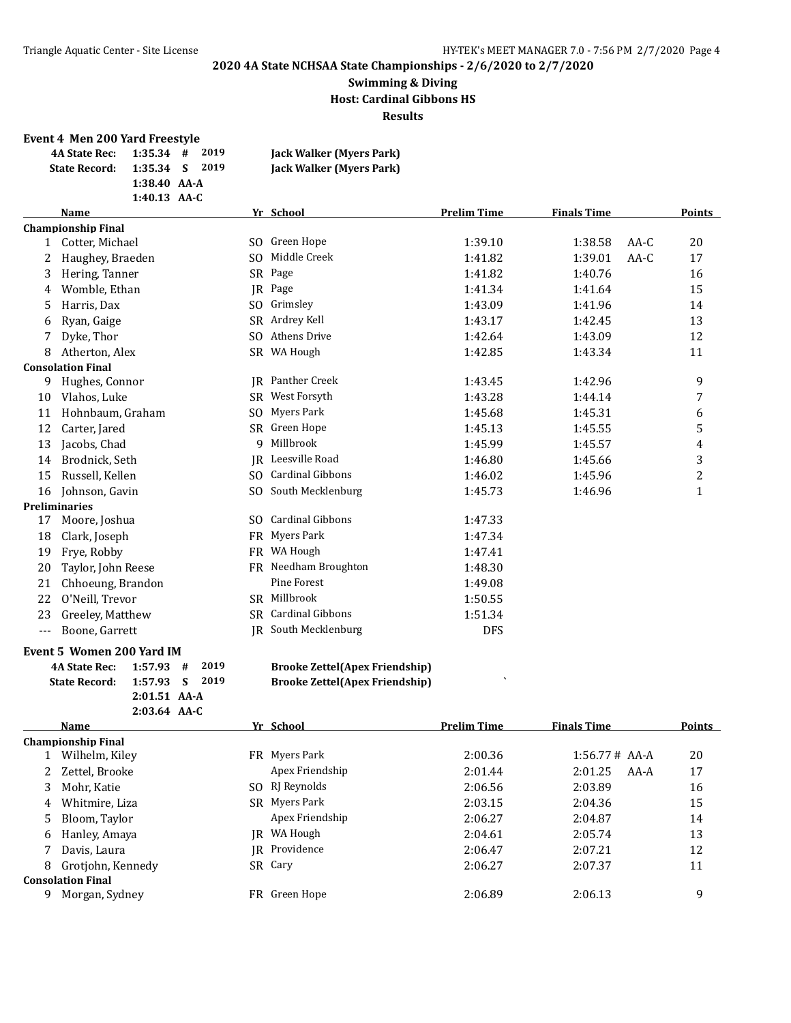#### **Swimming & Diving Host: Cardinal Gibbons HS Results**

#### **Event 4 Men 200 Yard Freestyle**

|                      | 4A State Rec: $1:35.34$ # 2019 | Jack Walker (Myers Park) |
|----------------------|--------------------------------|--------------------------|
| <b>State Record:</b> | 1:35.34 S 2019                 | Jack Walker (Myers Park) |
|                      | $1:38.40$ AA-A                 |                          |
|                      | 1:40.13 $AA-C$                 |                          |

|     | Name                      |     | Yr_School               | <b>Prelim Time</b> | <b>Finals Time</b> |        | Points       |
|-----|---------------------------|-----|-------------------------|--------------------|--------------------|--------|--------------|
|     | <b>Championship Final</b> |     |                         |                    |                    |        |              |
|     | Cotter, Michael           | SO. | Green Hope              | 1:39.10            | 1:38.58            | $AA-C$ | 20           |
| 2   | Haughey, Braeden          | SO. | Middle Creek            | 1:41.82            | 1:39.01            | $AA-C$ | 17           |
| 3   | Hering, Tanner            | SR  | Page                    | 1:41.82            | 1:40.76            |        | 16           |
| 4   | Womble, Ethan             | IR. | Page                    | 1:41.34            | 1:41.64            |        | 15           |
| 5   | Harris, Dax               | SO. | Grimsley                | 1:43.09            | 1:41.96            |        | 14           |
| 6   | Ryan, Gaige               | SR. | Ardrey Kell             | 1:43.17            | 1:42.45            |        | 13           |
| 7   | Dyke, Thor                | SO. | Athens Drive            | 1:42.64            | 1:43.09            |        | 12           |
| 8   | Atherton, Alex            |     | SR WA Hough             | 1:42.85            | 1:43.34            |        | 11           |
|     | <b>Consolation Final</b>  |     |                         |                    |                    |        |              |
| 9   | Hughes, Connor            | IR  | Panther Creek           | 1:43.45            | 1:42.96            |        | 9            |
| 10  | Vlahos, Luke              |     | SR West Forsyth         | 1:43.28            | 1:44.14            |        | 7            |
| 11  | Hohnbaum, Graham          | SO. | Myers Park              | 1:45.68            | 1:45.31            |        | 6            |
| 12  | Carter, Jared             | SR. | Green Hope              | 1:45.13            | 1:45.55            |        | 5            |
| 13  | Jacobs, Chad              | 9   | Millbrook               | 1:45.99            | 1:45.57            |        | 4            |
| 14  | Brodnick, Seth            | IR  | Leesville Road          | 1:46.80            | 1:45.66            |        | 3            |
| 15  | Russell, Kellen           | SO. | <b>Cardinal Gibbons</b> | 1:46.02            | 1:45.96            |        | 2            |
| 16  | Johnson, Gavin            |     | SO South Mecklenburg    | 1:45.73            | 1:46.96            |        | $\mathbf{1}$ |
|     | Preliminaries             |     |                         |                    |                    |        |              |
| 17  | Moore, Joshua             | SO. | <b>Cardinal Gibbons</b> | 1:47.33            |                    |        |              |
| 18  | Clark, Joseph             | FR  | Myers Park              | 1:47.34            |                    |        |              |
| 19  | Frye, Robby               | FR  | WA Hough                | 1:47.41            |                    |        |              |
| 20  | Taylor, John Reese        |     | FR Needham Broughton    | 1:48.30            |                    |        |              |
| 21  | Chhoeung, Brandon         |     | <b>Pine Forest</b>      | 1:49.08            |                    |        |              |
| 22  | O'Neill, Trevor           | SR. | Millbrook               | 1:50.55            |                    |        |              |
| 23  | Greeley, Matthew          | SR. | <b>Cardinal Gibbons</b> | 1:51.34            |                    |        |              |
| --- | Boone, Garrett            |     | IR South Mecklenburg    | <b>DFS</b>         |                    |        |              |
|     |                           |     |                         |                    |                    |        |              |

#### **Event 5 Women 200 Yard IM**

| 4A State Rec: 1:57.93 # 2019 |                |  |
|------------------------------|----------------|--|
| State Record: 1:57.93 S 2019 |                |  |
|                              | $2:01.51$ AA-A |  |
|                              | $2:03.64$ AA-C |  |

#### **4A State Rec: 1:57.93 # 2019 Brooke Zettel(Apex Friendship)**

**81:03.93 Brooke Zettel(Apex Friendship)** 

|   | Name                      |      | Yr School       | <b>Prelim Time</b> | <b>Finals Time</b> | <b>Points</b> |
|---|---------------------------|------|-----------------|--------------------|--------------------|---------------|
|   | <b>Championship Final</b> |      |                 |                    |                    |               |
|   | Wilhelm, Kiley            | FR - | Myers Park      | 2:00.36            | $1:56.77#$ AA-A    | 20            |
|   | 2 Zettel, Brooke          |      | Apex Friendship | 2:01.44            | 2:01.25<br>AA-A    | 17            |
| 3 | Mohr. Katie               | SO.  | RJ Reynolds     | 2:06.56            | 2:03.89            | 16            |
| 4 | Whitmire, Liza            | SR.  | Myers Park      | 2:03.15            | 2:04.36            | 15            |
| 5 | Bloom, Taylor             |      | Apex Friendship | 2:06.27            | 2:04.87            | 14            |
| 6 | Hanley, Amaya             | IR   | WA Hough        | 2:04.61            | 2:05.74            | 13            |
|   | Davis, Laura              |      | IR Providence   | 2:06.47            | 2:07.21            | 12            |
| 8 | Grotiohn, Kennedy         |      | SR Cary         | 2:06.27            | 2:07.37            | 11            |
|   | <b>Consolation Final</b>  |      |                 |                    |                    |               |
| 9 | Morgan, Sydney            | FR.  | Green Hope      | 2:06.89            | 2:06.13            | 9             |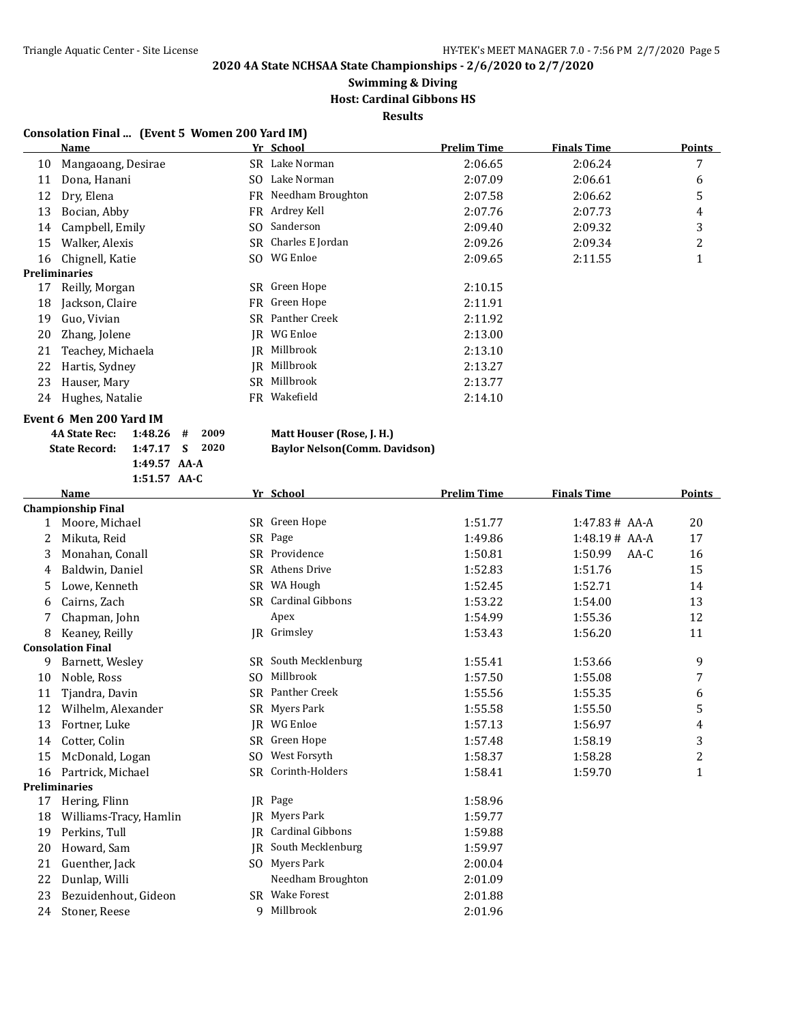### **Swimming & Diving Host: Cardinal Gibbons HS**

**Results**

#### **Consolation Final ... (Event 5 Women 200 Yard IM)**

|    | Name                 |      | Yr School            | <b>Prelim Time</b> | <b>Finals Time</b> | <b>Points</b> |
|----|----------------------|------|----------------------|--------------------|--------------------|---------------|
| 10 | Mangaoang, Desirae   |      | SR Lake Norman       | 2:06.65            | 2:06.24            | 7             |
| 11 | Dona, Hanani         | SO.  | Lake Norman          | 2:07.09            | 2:06.61            | 6             |
| 12 | Dry, Elena           |      | FR Needham Broughton | 2:07.58            | 2:06.62            | 5             |
| 13 | Bocian, Abby         |      | FR Ardrey Kell       | 2:07.76            | 2:07.73            | 4             |
| 14 | Campbell, Emily      |      | SO Sanderson         | 2:09.40            | 2:09.32            | 3             |
| 15 | Walker, Alexis       |      | SR Charles E Jordan  | 2:09.26            | 2:09.34            | 2             |
| 16 | Chignell, Katie      | SO.  | WG Enloe             | 2:09.65            | 2:11.55            |               |
|    | <b>Preliminaries</b> |      |                      |                    |                    |               |
| 17 | Reilly, Morgan       |      | SR Green Hope        | 2:10.15            |                    |               |
| 18 | Jackson, Claire      |      | FR Green Hope        | 2:11.91            |                    |               |
| 19 | Guo, Vivian          | SR - | Panther Creek        | 2:11.92            |                    |               |
| 20 | Zhang, Jolene        | IR   | WG Enloe             | 2:13.00            |                    |               |
| 21 | Teachey, Michaela    | IR   | Millbrook            | 2:13.10            |                    |               |
| 22 | Hartis, Sydney       | IR   | Millbrook            | 2:13.27            |                    |               |
| 23 | Hauser, Mary         | SR.  | Millbrook            | 2:13.77            |                    |               |
| 24 | Hughes, Natalie      | FR.  | Wakefield            | 2:14.10            |                    |               |
|    |                      |      |                      |                    |                    |               |

#### **Event 6 Men 200 Yard IM**

| 4A State Rec: 1:48.26 # 2009 |  |
|------------------------------|--|
| State Record: 1:47.17 S 2020 |  |
| $1:49.57$ AA-A               |  |
| $1:51.57$ AA-C               |  |

#### **4A A B A State Rec: 4A B 2009 D 2009 D 2009 D 2009 D 2009 D 2009 D 2009 D 2009 D 2009 D 2009 D 2009 D 2009 D 2009 D 2009 D 2009 D 2009 D 2009 D 2009**  $\overline{\text{Davidson}}$

|  |  |  | <b>Baylor Nelson(Comm. Da</b> |  |  |  |  |  |  |
|--|--|--|-------------------------------|--|--|--|--|--|--|
|--|--|--|-------------------------------|--|--|--|--|--|--|

|    | <b>Name</b>               |           | Yr School               | <b>Prelim Time</b> | <b>Finals Time</b> | <b>Points</b>  |
|----|---------------------------|-----------|-------------------------|--------------------|--------------------|----------------|
|    | <b>Championship Final</b> |           |                         |                    |                    |                |
| 1  | Moore, Michael            |           | SR Green Hope           | 1:51.77            | $1:47.83#$ AA-A    | 20             |
| 2  | Mikuta, Reid              |           | SR Page                 | 1:49.86            | 1:48.19# AAA       | 17             |
| 3  | Monahan, Conall           |           | SR Providence           | 1:50.81            | 1:50.99<br>$AA-C$  | 16             |
| 4  | Baldwin, Daniel           | <b>SR</b> | <b>Athens Drive</b>     | 1:52.83            | 1:51.76            | 15             |
| 5  | Lowe, Kenneth             |           | SR WA Hough             | 1:52.45            | 1:52.71            | 14             |
| 6  | Cairns, Zach              |           | SR Cardinal Gibbons     | 1:53.22            | 1:54.00            | 13             |
|    | Chapman, John             |           | Apex                    | 1:54.99            | 1:55.36            | 12             |
| 8  | Keaney, Reilly            |           | JR Grimsley             | 1:53.43            | 1:56.20            | 11             |
|    | <b>Consolation Final</b>  |           |                         |                    |                    |                |
| 9  | Barnett, Wesley           | <b>SR</b> | South Mecklenburg       | 1:55.41            | 1:53.66            | 9              |
| 10 | Noble, Ross               | SO.       | Millbrook               | 1:57.50            | 1:55.08            | 7              |
| 11 | Tjandra, Davin            | SR.       | Panther Creek           | 1:55.56            | 1:55.35            | 6              |
| 12 | Wilhelm, Alexander        | <b>SR</b> | Myers Park              | 1:55.58            | 1:55.50            | 5              |
| 13 | Fortner, Luke             | IR.       | WG Enloe                | 1:57.13            | 1:56.97            | 4              |
| 14 | Cotter, Colin             |           | SR Green Hope           | 1:57.48            | 1:58.19            | 3              |
| 15 | McDonald, Logan           | SO.       | West Forsyth            | 1:58.37            | 1:58.28            | $\overline{c}$ |
| 16 | Partrick, Michael         |           | SR Corinth-Holders      | 1:58.41            | 1:59.70            | $\mathbf{1}$   |
|    | <b>Preliminaries</b>      |           |                         |                    |                    |                |
| 17 | Hering, Flinn             | IR        | Page                    | 1:58.96            |                    |                |
| 18 | Williams-Tracy, Hamlin    | <b>IR</b> | Myers Park              | 1:59.77            |                    |                |
| 19 | Perkins, Tull             | IR.       | <b>Cardinal Gibbons</b> | 1:59.88            |                    |                |
| 20 | Howard, Sam               | <b>IR</b> | South Mecklenburg       | 1:59.97            |                    |                |
| 21 | Guenther, Jack            | SO.       | Myers Park              | 2:00.04            |                    |                |
| 22 | Dunlap, Willi             |           | Needham Broughton       | 2:01.09            |                    |                |
| 23 | Bezuidenhout, Gideon      |           | SR Wake Forest          | 2:01.88            |                    |                |
| 24 | Stoner, Reese             | q         | Millbrook               | 2:01.96            |                    |                |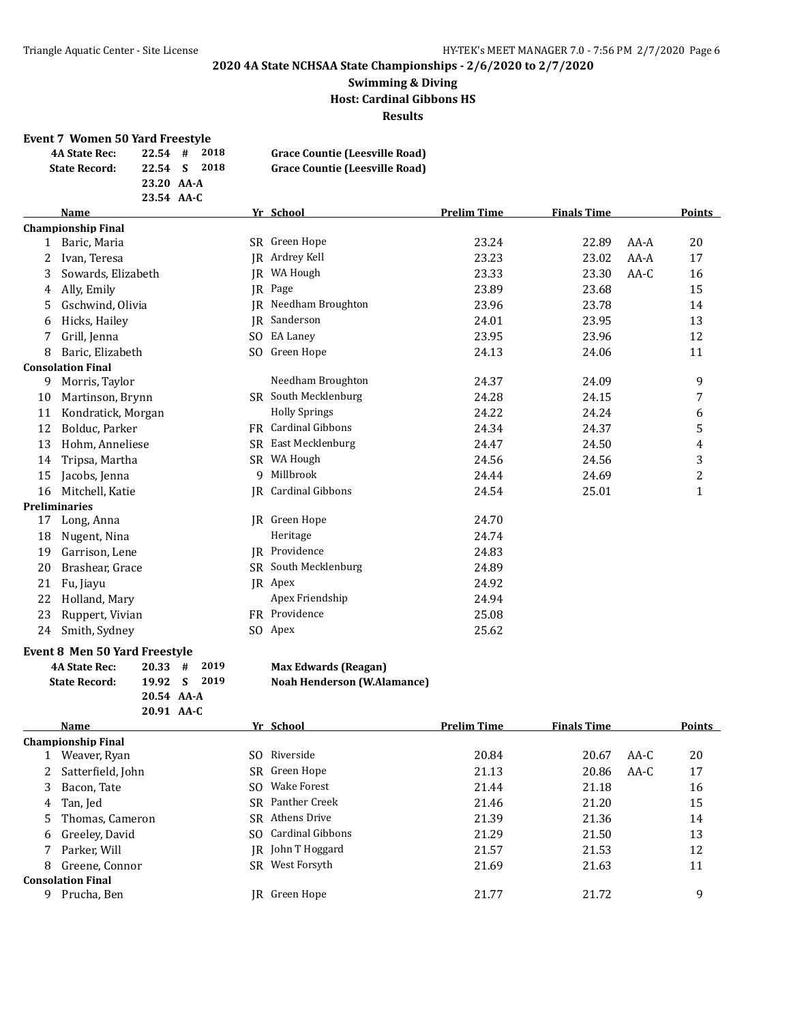#### **Swimming & Diving Host: Cardinal Gibbons HS Results**

#### **Event 7 Women 50 Yard Freestyle**

| <u>Licht / Women by Immericatie</u> |            |      |                                       |
|-------------------------------------|------------|------|---------------------------------------|
| <b>4A State Rec:</b>                | $22.54$ #  | 2018 | <b>Grace Countie (Leesville Road)</b> |
| <b>State Record:</b>                | 22.54 S    | 2018 | Grace Countie (Leesville Road)        |
|                                     | 23.20 AA-A |      |                                       |
|                                     | 23.54 AA-C |      |                                       |

| <b>Name</b>        |                                                                               |                         | <b>Prelim Time</b>                                                                                                               | <b>Finals Time</b> |        | Points         |
|--------------------|-------------------------------------------------------------------------------|-------------------------|----------------------------------------------------------------------------------------------------------------------------------|--------------------|--------|----------------|
|                    |                                                                               |                         |                                                                                                                                  |                    |        |                |
| Baric, Maria       | SR.                                                                           | Green Hope              | 23.24                                                                                                                            | 22.89              | $AA-A$ | 20             |
| Ivan, Teresa       | IR                                                                            | Ardrey Kell             | 23.23                                                                                                                            | 23.02              | AA-A   | 17             |
| Sowards, Elizabeth | IR.                                                                           | WA Hough                | 23.33                                                                                                                            | 23.30              | $AA-C$ | 16             |
| Ally, Emily        | IR                                                                            | Page                    | 23.89                                                                                                                            | 23.68              |        | 15             |
| Gschwind, Olivia   | IR                                                                            | Needham Broughton       | 23.96                                                                                                                            | 23.78              |        | 14             |
| Hicks, Hailey      | IR                                                                            | Sanderson               | 24.01                                                                                                                            | 23.95              |        | 13             |
| Grill, Jenna       | SO.                                                                           | <b>EA Laney</b>         | 23.95                                                                                                                            | 23.96              |        | 12             |
| Baric, Elizabeth   | SO.                                                                           |                         | 24.13                                                                                                                            | 24.06              |        | 11             |
|                    |                                                                               |                         |                                                                                                                                  |                    |        |                |
| Morris, Taylor     |                                                                               | Needham Broughton       | 24.37                                                                                                                            | 24.09              |        | 9              |
| Martinson, Brynn   |                                                                               |                         | 24.28                                                                                                                            | 24.15              |        | 7              |
| Kondratick, Morgan |                                                                               | <b>Holly Springs</b>    | 24.22                                                                                                                            | 24.24              |        | 6              |
| Bolduc, Parker     | FR                                                                            | <b>Cardinal Gibbons</b> | 24.34                                                                                                                            | 24.37              |        | 5              |
| Hohm, Anneliese    | SR.                                                                           | East Mecklenburg        | 24.47                                                                                                                            | 24.50              |        | 4              |
| Tripsa, Martha     |                                                                               | WA Hough                | 24.56                                                                                                                            | 24.56              |        | 3              |
| Jacobs, Jenna      | 9                                                                             | Millbrook               | 24.44                                                                                                                            | 24.69              |        | $\overline{c}$ |
| Mitchell, Katie    |                                                                               |                         | 24.54                                                                                                                            | 25.01              |        | $\mathbf 1$    |
|                    |                                                                               |                         |                                                                                                                                  |                    |        |                |
| Long, Anna         | IR                                                                            | Green Hope              | 24.70                                                                                                                            |                    |        |                |
| Nugent, Nina       |                                                                               | Heritage                | 24.74                                                                                                                            |                    |        |                |
| Garrison, Lene     |                                                                               |                         | 24.83                                                                                                                            |                    |        |                |
| Brashear, Grace    |                                                                               | South Mecklenburg       | 24.89                                                                                                                            |                    |        |                |
| Fu, Jiayu          |                                                                               |                         | 24.92                                                                                                                            |                    |        |                |
| Holland, Mary      |                                                                               | Apex Friendship         | 24.94                                                                                                                            |                    |        |                |
| Ruppert, Vivian    |                                                                               | Providence              | 25.08                                                                                                                            |                    |        |                |
| Smith, Sydney      |                                                                               |                         | 25.62                                                                                                                            |                    |        |                |
|                    | <b>Championship Final</b><br><b>Consolation Final</b><br><b>Preliminaries</b> |                         | Yr School<br>Green Hope<br>SR South Mecklenburg<br>SR<br>IR Cardinal Gibbons<br>JR Providence<br>SR.<br>JR Apex<br>FR<br>SO Apex |                    |        |                |

#### **Event 8 Men 50 Yard Freestyle**

| <b>4A State Rec:</b> | $20.33 \quad # \quad 2019$ |
|----------------------|----------------------------|
| <b>State Record:</b> | 19.92 S 2019               |
|                      | 20.54 AA-A                 |
|                      | $20.91$ AA-C               |

|    | Name                      |     | Yr School               | <b>Prelim Time</b> | <b>Finals Time</b> |      | <b>Points</b> |
|----|---------------------------|-----|-------------------------|--------------------|--------------------|------|---------------|
|    | <b>Championship Final</b> |     |                         |                    |                    |      |               |
|    | Weaver, Ryan              | SO. | Riverside               | 20.84              | 20.67              | AA-C | 20            |
|    | Satterfield, John         |     | SR Green Hope           | 21.13              | 20.86              | AA-C | 17            |
| 3  | Bacon, Tate               | SO. | Wake Forest             | 21.44              | 21.18              |      | 16            |
| 4  | Tan, Jed                  |     | <b>SR</b> Panther Creek | 21.46              | 21.20              |      | 15            |
| 5. | Thomas, Cameron           |     | <b>SR</b> Athens Drive  | 21.39              | 21.36              |      | 14            |
| 6  | Greeley, David            | SO. | Cardinal Gibbons        | 21.29              | 21.50              |      | 13            |
|    | Parker, Will              |     | IR John T Hoggard       | 21.57              | 21.53              |      | 12            |
| 8  | Greene, Connor            | SR. | West Forsyth            | 21.69              | 21.63              |      | 11            |
|    | <b>Consolation Final</b>  |     |                         |                    |                    |      |               |
| 9  | Prucha, Ben               | IR- | Green Hope              | 21.77              | 21.72              |      | 9             |
|    |                           |     |                         |                    |                    |      |               |

**Max Edwards (Reagan)** 

**State Record: 19.92 S 2019 Noah Henderson (W.Alamance)**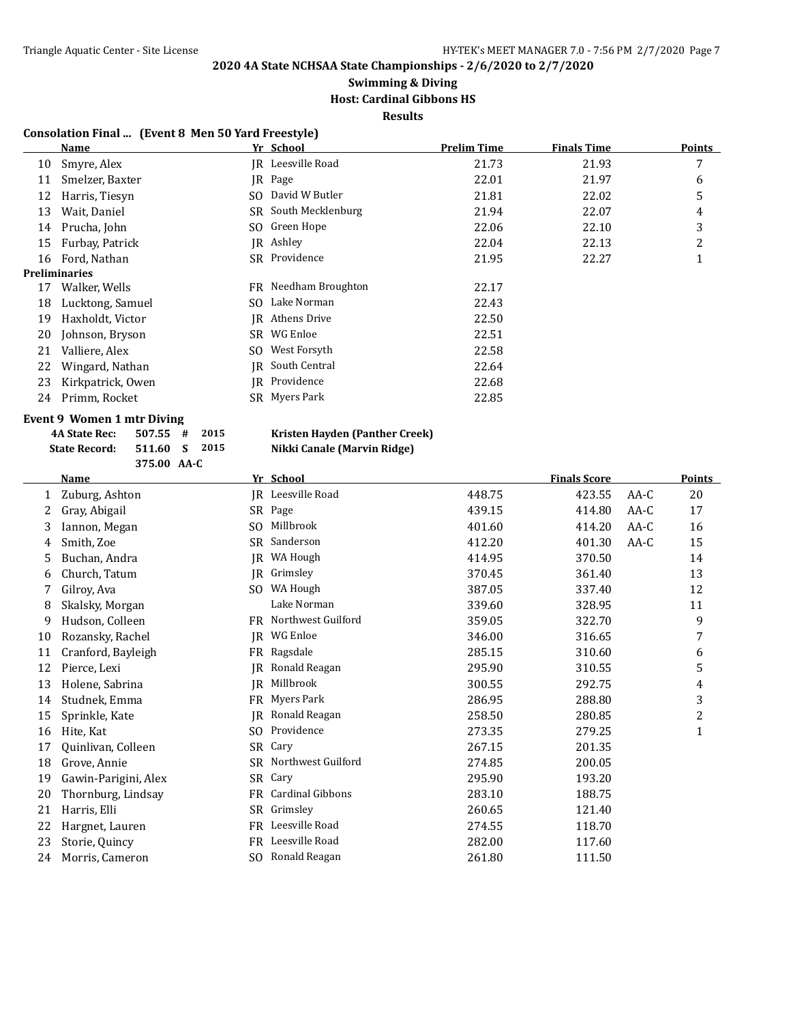### **Swimming & Diving Host: Cardinal Gibbons HS**

**Results**

#### **Consolation Final ... (Event 8 Men 50 Yard Freestyle)**

|    | Name                                                                                                                                                                                                                                                                                                        |     | Yr School            | <b>Prelim Time</b> | <b>Finals Time</b> | Points  |
|----|-------------------------------------------------------------------------------------------------------------------------------------------------------------------------------------------------------------------------------------------------------------------------------------------------------------|-----|----------------------|--------------------|--------------------|---------|
| 10 | Smyre, Alex                                                                                                                                                                                                                                                                                                 |     | JR Leesville Road    | 21.73              | 21.93              | 7       |
| 11 | Smelzer, Baxter                                                                                                                                                                                                                                                                                             |     | JR Page              | 22.01              | 21.97              | 6       |
| 12 | Harris, Tiesyn                                                                                                                                                                                                                                                                                              | SO. | David W Butler       | 21.81              | 22.02              | 5       |
| 13 | Wait, Daniel                                                                                                                                                                                                                                                                                                |     | SR South Mecklenburg | 21.94              | 22.07              | 4       |
| 14 | Prucha, John                                                                                                                                                                                                                                                                                                |     | SO Green Hope        | 22.06              | 22.10              | 3       |
| 15 | Furbay, Patrick                                                                                                                                                                                                                                                                                             |     | IR Ashley            | 22.04              | 22.13              | 2       |
| 16 | Ford, Nathan                                                                                                                                                                                                                                                                                                |     | SR Providence        | 21.95              | 22.27              | -1<br>т |
|    | <b>Preliminaries</b>                                                                                                                                                                                                                                                                                        |     |                      |                    |                    |         |
| 17 | Walker, Wells                                                                                                                                                                                                                                                                                               |     | FR Needham Broughton | 22.17              |                    |         |
| 18 | Lucktong, Samuel                                                                                                                                                                                                                                                                                            |     | SO Lake Norman       | 22.43              |                    |         |
| 19 | Haxholdt, Victor                                                                                                                                                                                                                                                                                            | IR  | Athens Drive         | 22.50              |                    |         |
| 20 | Johnson, Bryson                                                                                                                                                                                                                                                                                             | SR. | WG Enloe             | 22.51              |                    |         |
| 21 | Valliere, Alex                                                                                                                                                                                                                                                                                              | SO. | West Forsyth         | 22.58              |                    |         |
| 22 | Wingard, Nathan                                                                                                                                                                                                                                                                                             | IR  | South Central        | 22.64              |                    |         |
| 23 | Kirkpatrick, Owen                                                                                                                                                                                                                                                                                           |     | IR Providence        | 22.68              |                    |         |
| 24 | Primm, Rocket                                                                                                                                                                                                                                                                                               |     | SR Myers Park        | 22.85              |                    |         |
|    | $\mathbf{r}$ . $\mathbf{r}$ , $\mathbf{r}$ , $\mathbf{r}$ , $\mathbf{r}$ , $\mathbf{r}$ , $\mathbf{r}$ , $\mathbf{r}$ , $\mathbf{r}$ , $\mathbf{r}$ , $\mathbf{r}$ , $\mathbf{r}$ , $\mathbf{r}$ , $\mathbf{r}$ , $\mathbf{r}$ , $\mathbf{r}$ , $\mathbf{r}$ , $\mathbf{r}$ , $\mathbf{r}$ , $\mathbf{r}$ , |     |                      |                    |                    |         |

#### **Event 9 Women 1 mtr Diving**

| <b>4A State Rec:</b> | $507.55$ # 2015 |  |  |
|----------------------|-----------------|--|--|
| <b>State Record:</b> | 511.60 S 2015   |  |  |
|                      | 375.00 AA-C     |  |  |

#### **4A State Rec: 507.55 # 2015 Kristen Hayden (Panther Creek) State Record: 511.60 S 2015 Nikki Canale (Marvin Ridge)**

|    | <b>Name</b>          |           | Yr School               |        | <b>Finals Score</b> |      | <b>Points</b> |
|----|----------------------|-----------|-------------------------|--------|---------------------|------|---------------|
| 1  | Zuburg, Ashton       |           | JR Leesville Road       | 448.75 | 423.55              | AA-C | 20            |
| 2  | Gray, Abigail        |           | SR Page                 | 439.15 | 414.80              | AA-C | 17            |
| 3  | Iannon, Megan        | SO.       | Millbrook               | 401.60 | 414.20              | AA-C | 16            |
| 4  | Smith, Zoe           | SR.       | Sanderson               | 412.20 | 401.30              | AA-C | 15            |
| 5  | Buchan, Andra        | IR        | WA Hough                | 414.95 | 370.50              |      | 14            |
| 6  | Church, Tatum        | IR        | Grimslev                | 370.45 | 361.40              |      | 13            |
|    | Gilroy, Ava          | SO.       | WA Hough                | 387.05 | 337.40              |      | 12            |
| 8  | Skalsky, Morgan      |           | Lake Norman             | 339.60 | 328.95              |      | 11            |
| 9  | Hudson, Colleen      |           | FR Northwest Guilford   | 359.05 | 322.70              |      | 9             |
| 10 | Rozansky, Rachel     | IR        | WG Enloe                | 346.00 | 316.65              |      | 7             |
| 11 | Cranford, Bayleigh   |           | FR Ragsdale             | 285.15 | 310.60              |      | 6             |
| 12 | Pierce, Lexi         | IR        | Ronald Reagan           | 295.90 | 310.55              |      | 5             |
| 13 | Holene, Sabrina      | <b>IR</b> | Millbrook               | 300.55 | 292.75              |      | 4             |
| 14 | Studnek, Emma        | FR.       | Myers Park              | 286.95 | 288.80              |      | 3             |
| 15 | Sprinkle, Kate       | IR        | Ronald Reagan           | 258.50 | 280.85              |      | 2             |
| 16 | Hite, Kat            | SO.       | Providence              | 273.35 | 279.25              |      | $\mathbf{1}$  |
| 17 | Quinlivan, Colleen   | SR.       | Cary                    | 267.15 | 201.35              |      |               |
| 18 | Grove, Annie         |           | SR Northwest Guilford   | 274.85 | 200.05              |      |               |
| 19 | Gawin-Parigini, Alex | SR.       | Cary                    | 295.90 | 193.20              |      |               |
| 20 | Thornburg, Lindsay   | FR        | <b>Cardinal Gibbons</b> | 283.10 | 188.75              |      |               |
| 21 | Harris, Elli         | SR.       | Grimsley                | 260.65 | 121.40              |      |               |
| 22 | Hargnet, Lauren      | FR.       | Leesville Road          | 274.55 | 118.70              |      |               |
| 23 | Storie, Quincy       | FR.       | Leesville Road          | 282.00 | 117.60              |      |               |
| 24 | Morris, Cameron      |           | SO Ronald Reagan        | 261.80 | 111.50              |      |               |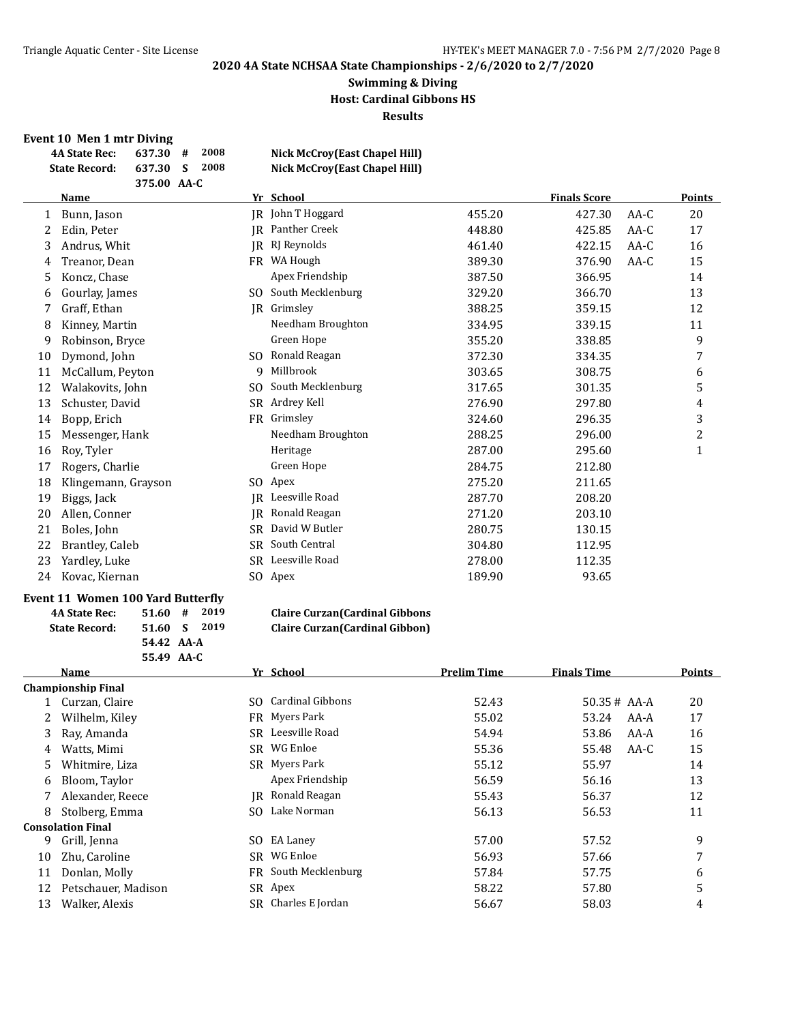#### **Swimming & Diving Host: Cardinal Gibbons HS Results**

#### **Event 10 Men 1 mtr Diving**

**4A State Rec: 637.30 # 2008 Nick McCroy(East Chapel Hill)**

|    | 2008<br><b>State Record:</b><br>637.30<br>S<br>375.00 AA-C |           | <b>Nick McCroy(East Chapel Hill)</b> |        |                     |        |               |
|----|------------------------------------------------------------|-----------|--------------------------------------|--------|---------------------|--------|---------------|
|    | <b>Name</b>                                                |           | Yr School                            |        | <b>Finals Score</b> |        | <b>Points</b> |
| 1  | Bunn, Jason                                                |           | <b>IR</b> John T Hoggard             | 455.20 | 427.30              | AA-C   | 20            |
| 2  | Edin, Peter                                                | IR        | Panther Creek                        | 448.80 | 425.85              | $AA-C$ | 17            |
| 3  | Andrus, Whit                                               | IR        | RJ Reynolds                          | 461.40 | 422.15              | AA-C   | 16            |
| 4  | Treanor, Dean                                              | FR        | WA Hough                             | 389.30 | 376.90              | $AA-C$ | 15            |
| 5  | Koncz, Chase                                               |           | Apex Friendship                      | 387.50 | 366.95              |        | 14            |
| 6  | Gourlay, James                                             | SO.       | South Mecklenburg                    | 329.20 | 366.70              |        | 13            |
| 7  | Graff, Ethan                                               | IR        | Grimsley                             | 388.25 | 359.15              |        | 12            |
| 8  | Kinney, Martin                                             |           | Needham Broughton                    | 334.95 | 339.15              |        | 11            |
| 9  | Robinson, Bryce                                            |           | Green Hope                           | 355.20 | 338.85              |        | 9             |
| 10 | Dymond, John                                               | SO.       | Ronald Reagan                        | 372.30 | 334.35              |        | 7             |
| 11 | McCallum, Peyton                                           | 9         | Millbrook                            | 303.65 | 308.75              |        | 6             |
| 12 | Walakovits, John                                           | SO.       | South Mecklenburg                    | 317.65 | 301.35              |        | 5             |
| 13 | Schuster, David                                            | SR.       | Ardrey Kell                          | 276.90 | 297.80              |        | 4             |
| 14 | Bopp, Erich                                                | <b>FR</b> | Grimsley                             | 324.60 | 296.35              |        | 3             |
| 15 | Messenger, Hank                                            |           | Needham Broughton                    | 288.25 | 296.00              |        | 2             |
| 16 | Roy, Tyler                                                 |           | Heritage                             | 287.00 | 295.60              |        | $\mathbf{1}$  |
| 17 | Rogers, Charlie                                            |           | Green Hope                           | 284.75 | 212.80              |        |               |
| 18 | Klingemann, Grayson                                        | SO.       | Apex                                 | 275.20 | 211.65              |        |               |
| 19 | Biggs, Jack                                                | IR        | Leesville Road                       | 287.70 | 208.20              |        |               |
| 20 | Allen, Conner                                              | IR        | Ronald Reagan                        | 271.20 | 203.10              |        |               |
| 21 | Boles, John                                                | SR.       | David W Butler                       | 280.75 | 130.15              |        |               |
| 22 | Brantley, Caleb                                            | SR.       | South Central                        | 304.80 | 112.95              |        |               |
| 23 | Yardley, Luke                                              |           | SR Leesville Road                    | 278.00 | 112.35              |        |               |
| 24 | Kovac, Kiernan                                             |           | SO Apex                              | 189.90 | 93.65               |        |               |

#### **Event 11 Women 100 Yard Butterfly**

| <b>4A State Rec:</b> | $51.60$ # 2019 |  |
|----------------------|----------------|--|
| <b>State Record:</b> | 51.60 S 2019   |  |
|                      | 54.42 AA-A     |  |
|                      | 55.49 AA-C     |  |

#### **4A State Rec: 51.60 # 2019 Claire Curzan(Cardinal Gibbons State Record: 51.60 S 2019 Claire Curzan(Cardinal Gibbon)**

|    | Name                      |     | Yr School         | <b>Prelim Time</b> | <b>Finals Time</b> | Points |
|----|---------------------------|-----|-------------------|--------------------|--------------------|--------|
|    | <b>Championship Final</b> |     |                   |                    |                    |        |
|    | Curzan, Claire            | SO. | Cardinal Gibbons  | 52.43              | $50.35#$ AA-A      | 20     |
|    | Wilhelm, Kiley            |     | FR Myers Park     | 55.02              | 53.24<br>AA-A      | 17     |
| 3  | Ray, Amanda               | SR. | Leesville Road    | 54.94              | 53.86<br>AA-A      | 16     |
| 4  | Watts, Mimi               | SR  | WG Enloe          | 55.36              | 55.48<br>AA-C      | 15     |
| 5. | Whitmire, Liza            |     | SR Myers Park     | 55.12              | 55.97              | 14     |
| 6  | Bloom, Taylor             |     | Apex Friendship   | 56.59              | 56.16              | 13     |
|    | Alexander, Reece          | IR  | Ronald Reagan     | 55.43              | 56.37              | 12     |
| 8  | Stolberg, Emma            | SO. | Lake Norman       | 56.13              | 56.53              | 11     |
|    | <b>Consolation Final</b>  |     |                   |                    |                    |        |
| 9  | Grill, Jenna              | SO. | EA Laney          | 57.00              | 57.52              | 9      |
| 10 | Zhu, Caroline             | SR. | WG Enloe          | 56.93              | 57.66              | 7      |
| 11 | Donlan, Molly             | FR  | South Mecklenburg | 57.84              | 57.75              | 6      |
| 12 | Petschauer, Madison       |     | SR Apex           | 58.22              | 57.80              | 5      |
| 13 | Walker, Alexis            | SR  | Charles E Jordan  | 56.67              | 58.03              | 4      |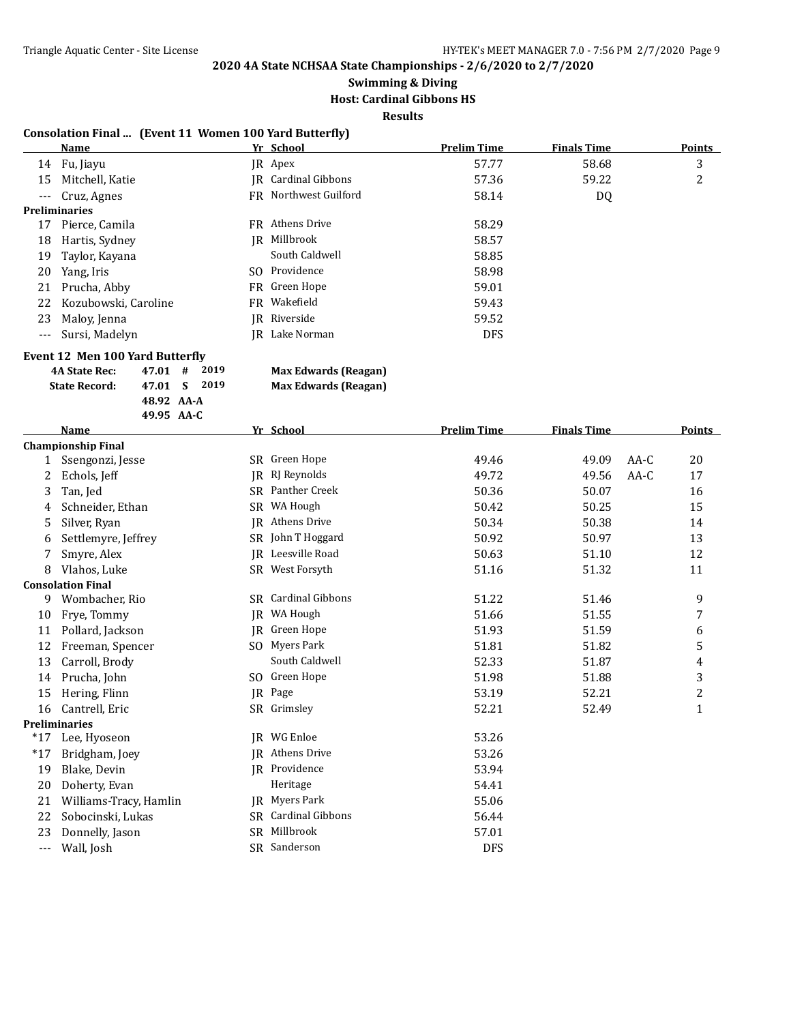# **Swimming & Diving**

## **Host: Cardinal Gibbons HS**

**Results**

#### **Consolation Final ... (Event 11 Women 100 Yard Butterfly)**

|                     | Name                 |     | Yr School             | <b>Prelim Time</b> | <b>Finals Time</b> | <b>Points</b> |
|---------------------|----------------------|-----|-----------------------|--------------------|--------------------|---------------|
|                     | 14 Fu, Jiayu         |     | JR Apex               | 57.77              | 58.68              | 3             |
| 15                  | Mitchell, Katie      |     | IR Cardinal Gibbons   | 57.36              | 59.22              | 2             |
| $\qquad \qquad - -$ | Cruz, Agnes          |     | FR Northwest Guilford | 58.14              | DQ                 |               |
|                     | <b>Preliminaries</b> |     |                       |                    |                    |               |
| 17                  | Pierce, Camila       |     | FR Athens Drive       | 58.29              |                    |               |
| 18                  | Hartis, Sydney       | IR  | Millbrook             | 58.57              |                    |               |
| 19                  | Taylor, Kayana       |     | South Caldwell        | 58.85              |                    |               |
| 20                  | Yang, Iris           | SO. | Providence            | 58.98              |                    |               |
| 21                  | Prucha, Abby         |     | FR Green Hope         | 59.01              |                    |               |
| 22                  | Kozubowski, Caroline |     | FR Wakefield          | 59.43              |                    |               |
| 23                  | Maloy, Jenna         |     | IR Riverside          | 59.52              |                    |               |
| $---$               | Sursi, Madelyn       | IR  | Lake Norman           | <b>DFS</b>         |                    |               |

#### **Event 12 Men 100 Yard Butterfly**

| 4A State Rec:        | $47.01$ # 2019 |  |
|----------------------|----------------|--|
| <b>State Record:</b> | 47.01 S 2019   |  |
|                      | 48.92 AA-A     |  |
|                      | 49.95 $AA-C$   |  |
| --                   |                |  |

**Max Edwards (Reagan) Max Edwards (Reagan)** 

|       | <b>Name</b>               |           | Yr School               | <b>Prelim Time</b> | <b>Finals Time</b> |        | Points         |
|-------|---------------------------|-----------|-------------------------|--------------------|--------------------|--------|----------------|
|       | <b>Championship Final</b> |           |                         |                    |                    |        |                |
| 1     | Ssengonzi, Jesse          |           | SR Green Hope           | 49.46              | 49.09              | $AA-C$ | 20             |
| 2     | Echols, Jeff              | <b>IR</b> | RJ Reynolds             | 49.72              | 49.56              | $AA-C$ | 17             |
| 3     | Tan, Jed                  | SR        | Panther Creek           | 50.36              | 50.07              |        | 16             |
| 4     | Schneider, Ethan          | SR        | WA Hough                | 50.42              | 50.25              |        | 15             |
| 5     | Silver, Ryan              | <b>IR</b> | Athens Drive            | 50.34              | 50.38              |        | 14             |
| 6     | Settlemyre, Jeffrey       | SR        | John T Hoggard          | 50.92              | 50.97              |        | 13             |
|       | Smyre, Alex               | <b>IR</b> | Leesville Road          | 50.63              | 51.10              |        | 12             |
| 8     | Vlahos, Luke              |           | SR West Forsyth         | 51.16              | 51.32              |        | 11             |
|       | <b>Consolation Final</b>  |           |                         |                    |                    |        |                |
| 9.    | Wombacher, Rio            | SR        | <b>Cardinal Gibbons</b> | 51.22              | 51.46              |        | 9              |
| 10    | Frye, Tommy               | IR        | WA Hough                | 51.66              | 51.55              |        | 7              |
| 11    | Pollard, Jackson          | IR.       | Green Hope              | 51.93              | 51.59              |        | 6              |
| 12    | Freeman, Spencer          | SO.       | Myers Park              | 51.81              | 51.82              |        | 5              |
| 13    | Carroll, Brody            |           | South Caldwell          | 52.33              | 51.87              |        | 4              |
| 14    | Prucha, John              | SO.       | Green Hope              | 51.98              | 51.88              |        | 3              |
| 15    | Hering, Flinn             | IR        | Page                    | 53.19              | 52.21              |        | $\overline{c}$ |
| 16    | Cantrell, Eric            |           | SR Grimsley             | 52.21              | 52.49              |        | $\mathbf{1}$   |
|       | <b>Preliminaries</b>      |           |                         |                    |                    |        |                |
| $*17$ | Lee, Hyoseon              | IR        | WG Enloe                | 53.26              |                    |        |                |
| $*17$ | Bridgham, Joey            | IR        | Athens Drive            | 53.26              |                    |        |                |
| 19    | Blake, Devin              | IR        | Providence              | 53.94              |                    |        |                |
| 20    | Doherty, Evan             |           | Heritage                | 54.41              |                    |        |                |
| 21    | Williams-Tracy, Hamlin    | IR        | Myers Park              | 55.06              |                    |        |                |
| 22    | Sobocinski, Lukas         | SR        | <b>Cardinal Gibbons</b> | 56.44              |                    |        |                |
| 23    | Donnelly, Jason           | SR        | Millbrook               | 57.01              |                    |        |                |
| $---$ | Wall, Josh                | SR        | Sanderson               | <b>DFS</b>         |                    |        |                |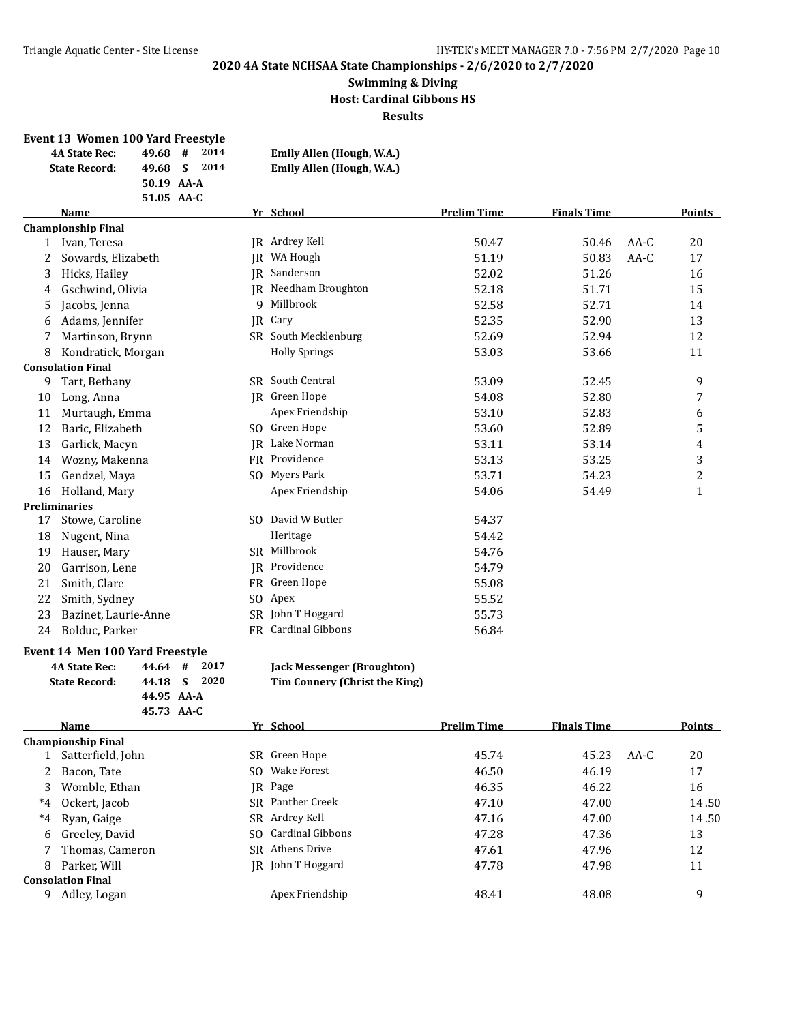#### **Swimming & Diving Host: Cardinal Gibbons HS Results**

#### **Event 13 Women 100 Yard Freestyle**

| <b>4A State Rec:</b> | 2014<br>#<br>49.68 | Emily Allen (Hough, W.A.) |
|----------------------|--------------------|---------------------------|
| <b>State Record:</b> | 2014<br>49.68 S    | Emily Allen (Hough, W.A.) |
|                      | 50.19 AA-A         |                           |
|                      | 51.05 AA-C         |                           |

|    | Name                      |     | Yr School            | <b>Prelim Time</b> | <b>Finals Time</b> |        | Points                  |
|----|---------------------------|-----|----------------------|--------------------|--------------------|--------|-------------------------|
|    | <b>Championship Final</b> |     |                      |                    |                    |        |                         |
| 1  | Ivan, Teresa              |     | JR Ardrey Kell       | 50.47              | 50.46              | $AA-C$ | 20                      |
| 2  | Sowards, Elizabeth        | IR  | WA Hough             | 51.19              | 50.83              | $AA-C$ | 17                      |
| 3  | Hicks, Hailey             | IR. | Sanderson            | 52.02              | 51.26              |        | 16                      |
| 4  | Gschwind, Olivia          |     | JR Needham Broughton | 52.18              | 51.71              |        | 15                      |
| 5  | Jacobs, Jenna             | 9   | Millbrook            | 52.58              | 52.71              |        | 14                      |
| 6  | Adams, Jennifer           | IR  | Cary                 | 52.35              | 52.90              |        | 13                      |
| 7  | Martinson, Brynn          |     | SR South Mecklenburg | 52.69              | 52.94              |        | 12                      |
| 8  | Kondratick, Morgan        |     | <b>Holly Springs</b> | 53.03              | 53.66              |        | 11                      |
|    | <b>Consolation Final</b>  |     |                      |                    |                    |        |                         |
| 9  | Tart, Bethany             | SR  | South Central        | 53.09              | 52.45              |        | 9                       |
| 10 | Long, Anna                |     | JR Green Hope        | 54.08              | 52.80              |        | 7                       |
| 11 | Murtaugh, Emma            |     | Apex Friendship      | 53.10              | 52.83              |        | 6                       |
| 12 | Baric, Elizabeth          |     | SO Green Hope        | 53.60              | 52.89              |        | 5                       |
| 13 | Garlick, Macyn            | IR. | Lake Norman          | 53.11              | 53.14              |        | 4                       |
| 14 | Wozny, Makenna            |     | FR Providence        | 53.13              | 53.25              |        | 3                       |
| 15 | Gendzel, Maya             |     | SO Myers Park        | 53.71              | 54.23              |        | $\overline{\mathbf{c}}$ |
| 16 | Holland, Mary             |     | Apex Friendship      | 54.06              | 54.49              |        | $\mathbf 1$             |
|    | Preliminaries             |     |                      |                    |                    |        |                         |
| 17 | Stowe, Caroline           |     | SO David W Butler    | 54.37              |                    |        |                         |
| 18 | Nugent, Nina              |     | Heritage             | 54.42              |                    |        |                         |
| 19 | Hauser, Mary              | SR. | Millbrook            | 54.76              |                    |        |                         |
| 20 | Garrison, Lene            |     | JR Providence        | 54.79              |                    |        |                         |
| 21 | Smith, Clare              |     | FR Green Hope        | 55.08              |                    |        |                         |
| 22 | Smith, Sydney             | SO. | Apex                 | 55.52              |                    |        |                         |
| 23 | Bazinet, Laurie-Anne      |     | SR John T Hoggard    | 55.73              |                    |        |                         |
| 24 | Bolduc, Parker            |     | FR Cardinal Gibbons  | 56.84              |                    |        |                         |

#### **Event 14 Men 100 Yard Freestyle**

| <b>4A State Rec:</b> | $44.64$ # 2017 |  |
|----------------------|----------------|--|
| <b>State Record:</b> | 44.18 S 2020   |  |
|                      | 44.95 AA-A     |  |
|                      | 45.73 AA-C     |  |

|       | Name                     |     | Yr School         | <b>Prelim Time</b> | <b>Finals Time</b> |      | <b>Points</b> |
|-------|--------------------------|-----|-------------------|--------------------|--------------------|------|---------------|
|       | Championship Final       |     |                   |                    |                    |      |               |
|       | Satterfield, John        |     | SR Green Hope     | 45.74              | 45.23              | AA-C | 20            |
| 2     | Bacon, Tate              |     | SO Wake Forest    | 46.50              | 46.19              |      | 17            |
| 3     | Womble, Ethan            |     | IR Page           | 46.35              | 46.22              |      | 16            |
| $^*4$ | Ockert, Jacob            |     | SR Panther Creek  | 47.10              | 47.00              |      | 14.50         |
| $*4$  | Ryan, Gaige              |     | SR Ardrey Kell    | 47.16              | 47.00              |      | 14.50         |
| 6     | Greeley, David           | SO. | Cardinal Gibbons  | 47.28              | 47.36              |      | 13            |
|       | Thomas, Cameron          |     | SR Athens Drive   | 47.61              | 47.96              |      | 12            |
| 8     | Parker, Will             |     | IR John T Hoggard | 47.78              | 47.98              |      | 11            |
|       | <b>Consolation Final</b> |     |                   |                    |                    |      |               |
| 9     | Adley, Logan             |     | Apex Friendship   | 48.41              | 48.08              |      | 9             |
|       |                          |     |                   |                    |                    |      |               |

 $\text{Jack Message: (Broughton)}$ **State Record: 44.18 S 2020 Tim Connery (Christ the King)**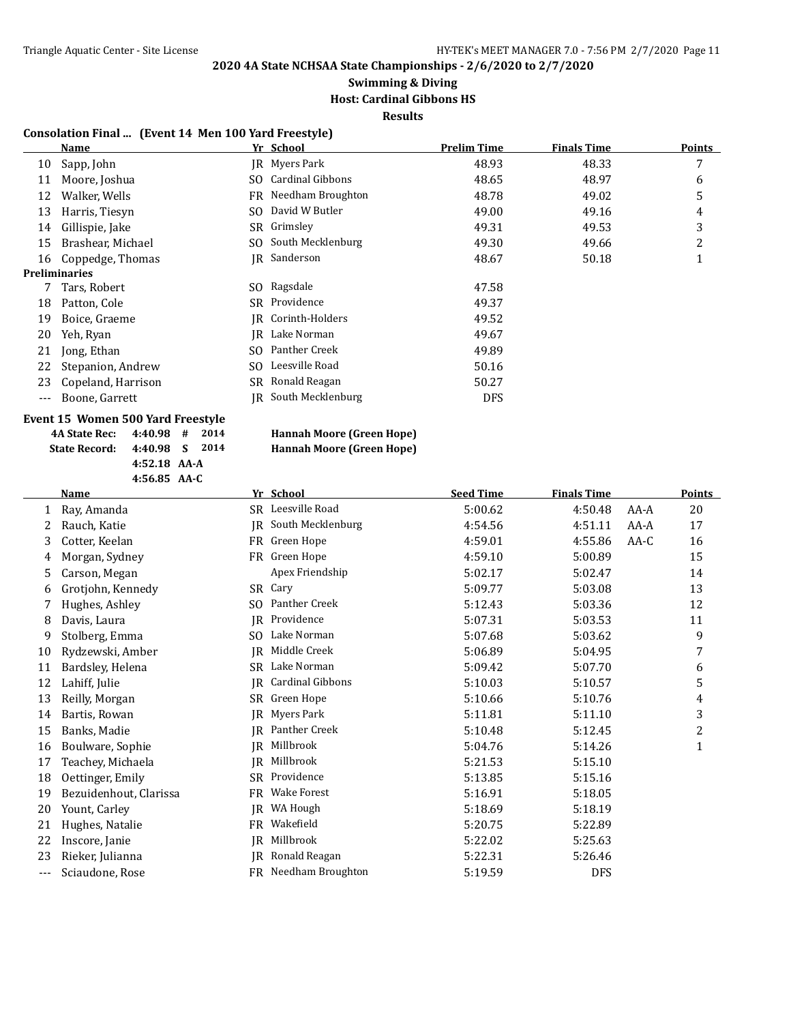## **Swimming & Diving**

### **Host: Cardinal Gibbons HS**

**Results**

#### **Consolation Final ... (Event 14 Men 100 Yard Freestyle)**

|      | Name                 |     | Yr School               | <b>Prelim Time</b> | <b>Finals Time</b> | Points |
|------|----------------------|-----|-------------------------|--------------------|--------------------|--------|
| 10   | Sapp, John           |     | IR Myers Park           | 48.93              | 48.33              | 7      |
| 11   | Moore, Joshua        | SO. | <b>Cardinal Gibbons</b> | 48.65              | 48.97              | 6      |
| 12   | Walker, Wells        |     | FR Needham Broughton    | 48.78              | 49.02              | 5      |
| 13   | Harris, Tiesyn       | SO. | David W Butler          | 49.00              | 49.16              | 4      |
| 14   | Gillispie, Jake      |     | SR Grimsley             | 49.31              | 49.53              | 3      |
| 15   | Brashear, Michael    |     | SO South Mecklenburg    | 49.30              | 49.66              | 2      |
| 16   | Coppedge, Thomas     |     | JR Sanderson            | 48.67              | 50.18              | ┸      |
|      | <b>Preliminaries</b> |     |                         |                    |                    |        |
|      | Tars, Robert         |     | SO Ragsdale             | 47.58              |                    |        |
| 18   | Patton, Cole         |     | SR Providence           | 49.37              |                    |        |
| 19   | Boice, Graeme        |     | IR Corinth-Holders      | 49.52              |                    |        |
| 20   | Yeh, Ryan            | IR  | Lake Norman             | 49.67              |                    |        |
| 21   | Jong, Ethan          | SO. | Panther Creek           | 49.89              |                    |        |
| 22   | Stepanion, Andrew    | SO. | Leesville Road          | 50.16              |                    |        |
| 23   | Copeland, Harrison   |     | SR Ronald Reagan        | 50.27              |                    |        |
| $--$ | Boone, Garrett       | IR  | South Mecklenburg       | <b>DFS</b>         |                    |        |
|      |                      |     |                         |                    |                    |        |

### **Event 15 Women 500 Yard Freestyle**

|     | ס-תח נטוטיד            |           |                      |                  |                    |        |               |
|-----|------------------------|-----------|----------------------|------------------|--------------------|--------|---------------|
|     | <b>Name</b>            |           | Yr School            | <b>Seed Time</b> | <b>Finals Time</b> |        | <b>Points</b> |
| 1   | Ray, Amanda            |           | SR Leesville Road    | 5:00.62          | 4:50.48            | AA-A   | 20            |
| 2   | Rauch, Katie           | IR        | South Mecklenburg    | 4:54.56          | 4:51.11            | AA-A   | 17            |
| 3   | Cotter, Keelan         |           | FR Green Hope        | 4:59.01          | 4:55.86            | $AA-C$ | 16            |
| 4   | Morgan, Sydney         | <b>FR</b> | Green Hope           | 4:59.10          | 5:00.89            |        | 15            |
| 5.  | Carson, Megan          |           | Apex Friendship      | 5:02.17          | 5:02.47            |        | 14            |
| 6   | Grotjohn, Kennedy      |           | SR Cary              | 5:09.77          | 5:03.08            |        | 13            |
|     | Hughes, Ashley         | SO.       | Panther Creek        | 5:12.43          | 5:03.36            |        | 12            |
| 8   | Davis, Laura           | IR.       | Providence           | 5:07.31          | 5:03.53            |        | 11            |
| 9   | Stolberg, Emma         | SO.       | Lake Norman          | 5:07.68          | 5:03.62            |        | 9             |
| 10  | Rydzewski, Amber       | IR.       | Middle Creek         | 5:06.89          | 5:04.95            |        | 7             |
| 11  | Bardsley, Helena       | SR.       | Lake Norman          | 5:09.42          | 5:07.70            |        | 6             |
| 12  | Lahiff, Julie          | <b>IR</b> | Cardinal Gibbons     | 5:10.03          | 5:10.57            |        | 5             |
| 13  | Reilly, Morgan         | SR        | Green Hope           | 5:10.66          | 5:10.76            |        | 4             |
| 14  | Bartis, Rowan          | <b>IR</b> | Myers Park           | 5:11.81          | 5:11.10            |        | 3             |
| 15  | Banks, Madie           | IR.       | Panther Creek        | 5:10.48          | 5:12.45            |        | 2             |
| 16  | Boulware, Sophie       | IR.       | Millbrook            | 5:04.76          | 5:14.26            |        | 1             |
| 17  | Teachey, Michaela      | IR.       | Millbrook            | 5:21.53          | 5:15.10            |        |               |
| 18  | Oettinger, Emily       | SR        | Providence           | 5:13.85          | 5:15.16            |        |               |
| 19  | Bezuidenhout, Clarissa | <b>FR</b> | <b>Wake Forest</b>   | 5:16.91          | 5:18.05            |        |               |
| 20  | Yount, Carley          | IR        | WA Hough             | 5:18.69          | 5:18.19            |        |               |
| 21  | Hughes, Natalie        | <b>FR</b> | Wakefield            | 5:20.75          | 5:22.89            |        |               |
| 22  | Inscore, Janie         |           | JR Millbrook         | 5:22.02          | 5:25.63            |        |               |
| 23  | Rieker, Julianna       | IR        | Ronald Reagan        | 5:22.31          | 5:26.46            |        |               |
| --- | Sciaudone, Rose        |           | FR Needham Broughton | 5:19.59          | <b>DFS</b>         |        |               |

**<sup>4</sup>A State Rec: 4:40.98 # 2014 Hannah Moore (Green Hope) State Record: 4:40.98 S 2014 4:52.18 AA-A 4:56.85 AA-C**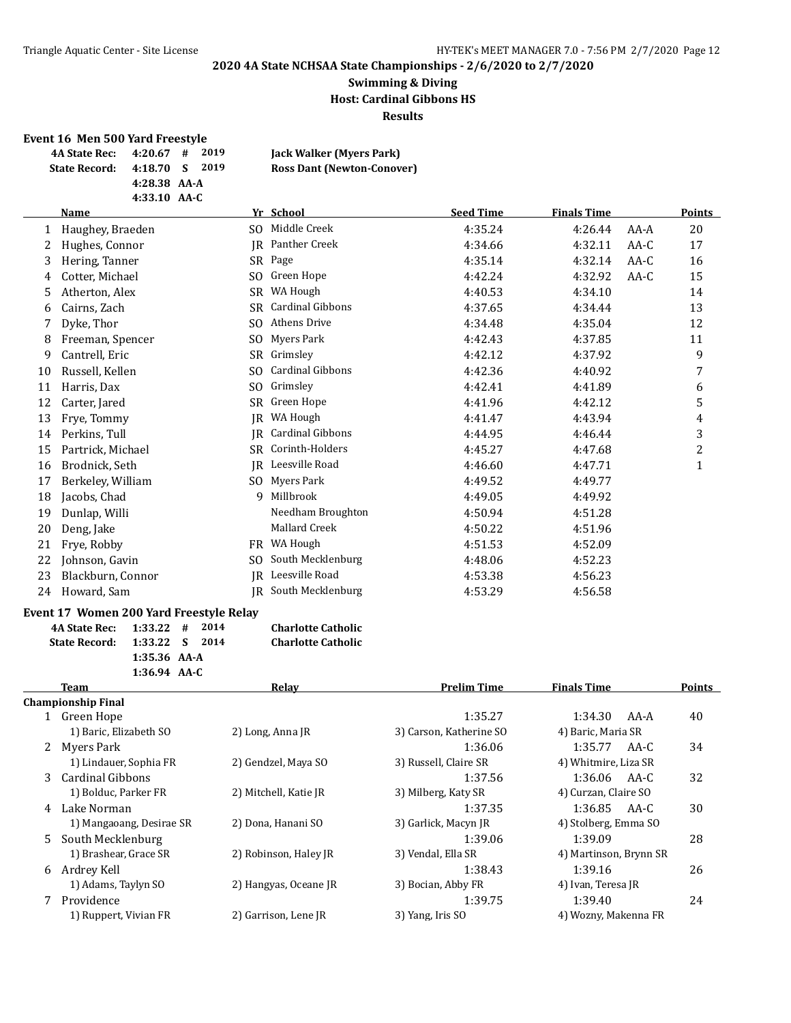#### **Swimming & Diving Host: Cardinal Gibbons HS Results**

#### **Event 16 Men 500 Yard Freestyle**

| 4A State Rec: 4:20.67 # |              | 2019  | Jack Walker (Myers Park)          |
|-------------------------|--------------|-------|-----------------------------------|
| <b>State Record:</b>    | 4:18.70 S    | -2019 | <b>Ross Dant (Newton-Conover)</b> |
|                         | 4:28.38 AA-A |       |                                   |
|                         | 4:33.10 AA-C |       |                                   |

|    | Name              |     | Yr School               | <b>Seed Time</b> | <b>Finals Time</b> |        | Points         |
|----|-------------------|-----|-------------------------|------------------|--------------------|--------|----------------|
|    | Haughey, Braeden  | SO. | Middle Creek            | 4:35.24          | 4:26.44            | $AA-A$ | 20             |
|    | Hughes, Connor    | IR  | Panther Creek           | 4:34.66          | 4:32.11            | AA-C   | 17             |
| 3  | Hering, Tanner    |     | SR Page                 | 4:35.14          | 4:32.14            | AA-C   | 16             |
| 4  | Cotter, Michael   | SO. | Green Hope              | 4:42.24          | 4:32.92            | AA-C   | 15             |
| 5  | Atherton, Alex    | SR. | WA Hough                | 4:40.53          | 4:34.10            |        | 14             |
| 6  | Cairns, Zach      | SR  | <b>Cardinal Gibbons</b> | 4:37.65          | 4:34.44            |        | 13             |
|    | Dyke, Thor        | SO. | Athens Drive            | 4:34.48          | 4:35.04            |        | 12             |
| 8  | Freeman, Spencer  | SO. | Myers Park              | 4:42.43          | 4:37.85            |        | 11             |
| 9  | Cantrell, Eric    | SR  | Grimsley                | 4:42.12          | 4:37.92            |        | 9              |
| 10 | Russell, Kellen   | SO. | Cardinal Gibbons        | 4:42.36          | 4:40.92            |        | 7              |
| 11 | Harris, Dax       | SO. | Grimsley                | 4:42.41          | 4:41.89            |        | 6              |
| 12 | Carter, Jared     | SR  | Green Hope              | 4:41.96          | 4:42.12            |        | 5              |
| 13 | Frye, Tommy       | IR  | WA Hough                | 4:41.47          | 4:43.94            |        | 4              |
| 14 | Perkins, Tull     | IR  | Cardinal Gibbons        | 4:44.95          | 4:46.44            |        | 3              |
| 15 | Partrick, Michael | SR  | Corinth-Holders         | 4:45.27          | 4:47.68            |        | $\overline{c}$ |
| 16 | Brodnick, Seth    | IR  | Leesville Road          | 4:46.60          | 4:47.71            |        | $\mathbf{1}$   |
| 17 | Berkeley, William | SO. | Myers Park              | 4:49.52          | 4:49.77            |        |                |
| 18 | Jacobs, Chad      | 9   | Millbrook               | 4:49.05          | 4:49.92            |        |                |
| 19 | Dunlap, Willi     |     | Needham Broughton       | 4:50.94          | 4:51.28            |        |                |
| 20 | Deng, Jake        |     | <b>Mallard Creek</b>    | 4:50.22          | 4:51.96            |        |                |
| 21 | Frye, Robby       | FR. | WA Hough                | 4:51.53          | 4:52.09            |        |                |
| 22 | Johnson, Gavin    | SO. | South Mecklenburg       | 4:48.06          | 4:52.23            |        |                |
| 23 | Blackburn, Connor | IR  | Leesville Road          | 4:53.38          | 4:56.23            |        |                |
| 24 | Howard, Sam       | IR  | South Mecklenburg       | 4:53.29          | 4:56.58            |        |                |
|    |                   |     |                         |                  |                    |        |                |

#### **Event 17 Women 200 Yard Freestyle Relay**

| 4A State Rec: 1:33.22 #      |                | - 2014 | <b>Charlotte Catholic</b> |
|------------------------------|----------------|--------|---------------------------|
| State Record: 1:33.22 S 2014 |                |        | <b>Charlotte Catholic</b> |
|                              | $1:35.36$ AA-A |        |                           |
|                              | $1:36.94$ AA-C |        |                           |

|    | Team                      | Relav                 | <b>Prelim Time</b>      | <b>Finals Time</b>     | <b>Points</b> |
|----|---------------------------|-----------------------|-------------------------|------------------------|---------------|
|    | <b>Championship Final</b> |                       |                         |                        |               |
|    | Green Hope                |                       | 1:35.27                 | AA-A<br>1:34.30        | 40            |
|    | 1) Baric, Elizabeth SO    | 2) Long, Anna JR      | 3) Carson, Katherine SO | 4) Baric, Maria SR     |               |
| 2  | Myers Park                |                       | 1:36.06                 | 1:35.77<br>AA-C        | 34            |
|    | 1) Lindauer, Sophia FR    | 2) Gendzel, Maya SO   | 3) Russell, Claire SR   | 4) Whitmire, Liza SR   |               |
| 3  | Cardinal Gibbons          |                       | 1:37.56                 | $1:36.06$ AA-C         | 32            |
|    | 1) Bolduc, Parker FR      | 2) Mitchell, Katie JR | 3) Milberg, Katy SR     | 4) Curzan, Claire SO   |               |
| 4  | Lake Norman               |                       | 1:37.35                 | $1:36.85$ AA-C         | 30            |
|    | 1) Mangaoang, Desirae SR  | 2) Dona, Hanani SO    | 3) Garlick, Macyn JR    | 4) Stolberg, Emma SO   |               |
| 5. | South Mecklenburg         |                       | 1:39.06                 | 1:39.09                | 28            |
|    | 1) Brashear, Grace SR     | 2) Robinson, Haley JR | 3) Vendal, Ella SR      | 4) Martinson, Brynn SR |               |
| 6  | Ardrey Kell               |                       | 1:38.43                 | 1:39.16                | 26            |
|    | 1) Adams, Taylyn SO       | 2) Hangyas, Oceane JR | 3) Bocian, Abby FR      | 4) Ivan, Teresa JR     |               |
|    | Providence                |                       | 1:39.75                 | 1:39.40                | 24            |
|    | 1) Ruppert, Vivian FR     | 2) Garrison, Lene JR  | 3) Yang, Iris SO        | 4) Wozny, Makenna FR   |               |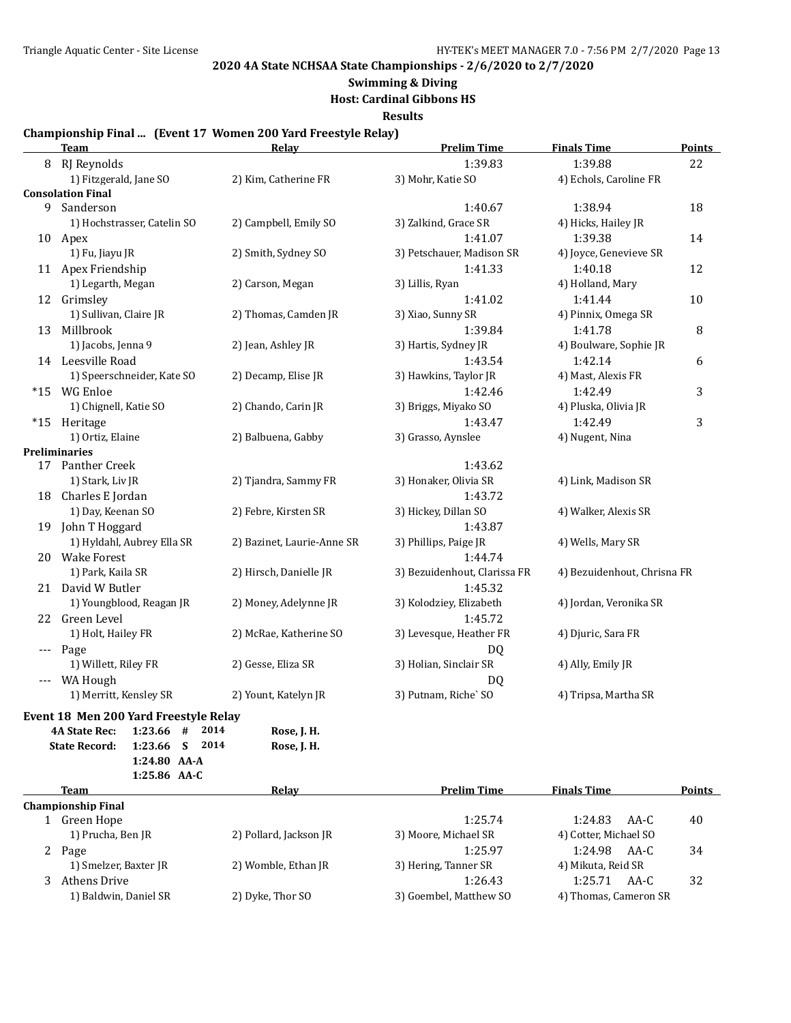# **Swimming & Diving**

**Host: Cardinal Gibbons HS**

**Results**

#### **Championship Final ... (Event 17 Women 200 Yard Freestyle Relay)**

|          | <b>Team</b>                                  | Relay                      | <b>Prelim Time</b>           | <b>Finals Time</b>          | <b>Points</b> |
|----------|----------------------------------------------|----------------------------|------------------------------|-----------------------------|---------------|
| 8        | RJ Reynolds                                  |                            | 1:39.83                      | 1:39.88                     | 22            |
|          | 1) Fitzgerald, Jane SO                       | 2) Kim, Catherine FR       | 3) Mohr, Katie SO            | 4) Echols, Caroline FR      |               |
|          | <b>Consolation Final</b>                     |                            |                              |                             |               |
| 9        | Sanderson                                    |                            | 1:40.67                      | 1:38.94                     | 18            |
|          | 1) Hochstrasser, Catelin SO                  | 2) Campbell, Emily SO      | 3) Zalkind, Grace SR         | 4) Hicks, Hailey JR         |               |
|          | 10 Apex                                      |                            | 1:41.07                      | 1:39.38                     | 14            |
|          | 1) Fu, Jiayu JR                              | 2) Smith, Sydney SO        | 3) Petschauer, Madison SR    | 4) Joyce, Genevieve SR      |               |
|          | 11 Apex Friendship                           |                            | 1:41.33                      | 1:40.18                     | 12            |
|          | 1) Legarth, Megan                            | 2) Carson, Megan           | 3) Lillis, Ryan              | 4) Holland, Mary            |               |
|          | 12 Grimsley                                  |                            | 1:41.02                      | 1:41.44                     | 10            |
|          | 1) Sullivan, Claire JR                       | 2) Thomas, Camden JR       | 3) Xiao, Sunny SR            | 4) Pinnix, Omega SR         |               |
| 13       | Millbrook                                    |                            | 1:39.84                      | 1:41.78                     | 8             |
|          | 1) Jacobs, Jenna 9                           | 2) Jean, Ashley JR         | 3) Hartis, Sydney JR         | 4) Boulware, Sophie JR      |               |
| 14       | Leesville Road                               |                            | 1:43.54                      | 1:42.14                     | 6             |
|          | 1) Speerschneider, Kate SO                   | 2) Decamp, Elise JR        | 3) Hawkins, Taylor JR        | 4) Mast, Alexis FR          |               |
|          | *15 WG Enloe                                 |                            | 1:42.46                      | 1:42.49                     | 3             |
|          | 1) Chignell, Katie SO                        | 2) Chando, Carin JR        | 3) Briggs, Miyako SO         | 4) Pluska, Olivia JR        |               |
|          | *15 Heritage                                 |                            | 1:43.47                      | 1:42.49                     | 3             |
|          | 1) Ortiz, Elaine                             | 2) Balbuena, Gabby         | 3) Grasso, Aynslee           | 4) Nugent, Nina             |               |
|          | <b>Preliminaries</b>                         |                            |                              |                             |               |
|          | 17 Panther Creek                             |                            | 1:43.62                      |                             |               |
|          | 1) Stark, Liv JR                             | 2) Tjandra, Sammy FR       | 3) Honaker, Olivia SR        | 4) Link, Madison SR         |               |
| 18       | Charles E Jordan                             |                            | 1:43.72                      |                             |               |
|          | 1) Day, Keenan SO                            | 2) Febre, Kirsten SR       | 3) Hickey, Dillan SO         | 4) Walker, Alexis SR        |               |
| 19       | John T Hoggard                               |                            | 1:43.87                      |                             |               |
|          | 1) Hyldahl, Aubrey Ella SR                   | 2) Bazinet, Laurie-Anne SR | 3) Phillips, Paige JR        | 4) Wells, Mary SR           |               |
|          | 20 Wake Forest                               |                            | 1:44.74                      |                             |               |
|          | 1) Park, Kaila SR                            | 2) Hirsch, Danielle JR     | 3) Bezuidenhout, Clarissa FR | 4) Bezuidenhout, Chrisna FR |               |
|          | 21 David W Butler                            |                            | 1:45.32                      |                             |               |
|          | 1) Youngblood, Reagan JR                     | 2) Money, Adelynne JR      | 3) Kolodziey, Elizabeth      | 4) Jordan, Veronika SR      |               |
| 22       | Green Level                                  |                            | 1:45.72                      |                             |               |
|          | 1) Holt, Hailey FR                           | 2) McRae, Katherine SO     | 3) Levesque, Heather FR      | 4) Djuric, Sara FR          |               |
| $\cdots$ | Page                                         |                            | DO.                          |                             |               |
|          | 1) Willett, Riley FR                         | 2) Gesse, Eliza SR         | 3) Holian, Sinclair SR       | 4) Ally, Emily JR           |               |
| $---$    | WA Hough                                     |                            | DO.                          |                             |               |
|          | 1) Merritt, Kensley SR                       | 2) Yount, Katelyn JR       | 3) Putnam, Riche' SO         | 4) Tripsa, Martha SR        |               |
|          | Event 18 Men 200 Yard Freestyle Relay        |                            |                              |                             |               |
|          | $1:23.66$ #<br>2014<br><b>4A State Rec:</b>  | Rose, J. H.                |                              |                             |               |
|          | S<br>2014<br><b>State Record:</b><br>1:23.66 | Rose, J. H.                |                              |                             |               |
|          | 1:24.80 AA-A                                 |                            |                              |                             |               |
|          | 1:25.86 AA-C                                 |                            |                              |                             |               |

|   | <b>Team</b>           | Relav                  | <b>Prelim Time</b>     | <b>Finals Time</b>    | Points |
|---|-----------------------|------------------------|------------------------|-----------------------|--------|
|   | Championship Final    |                        |                        |                       |        |
|   | Green Hope            |                        | 1:25.74                | 1:24.83<br>AA-C       | 40     |
|   | 1) Prucha, Ben JR     | 2) Pollard, Jackson JR | 3) Moore, Michael SR   | 4) Cotter, Michael SO |        |
| 2 | Page                  |                        | 1:25.97                | AA-C<br>1:24.98       | 34     |
|   | 1) Smelzer, Baxter JR | 2) Womble, Ethan JR    | 3) Hering, Tanner SR   | 4) Mikuta, Reid SR    |        |
|   | Athens Drive          |                        | 1:26.43                | 1:25.71<br>AA-C       | 32     |
|   | 1) Baldwin, Daniel SR | 2) Dyke, Thor SO       | 3) Goembel, Matthew SO | 4) Thomas, Cameron SR |        |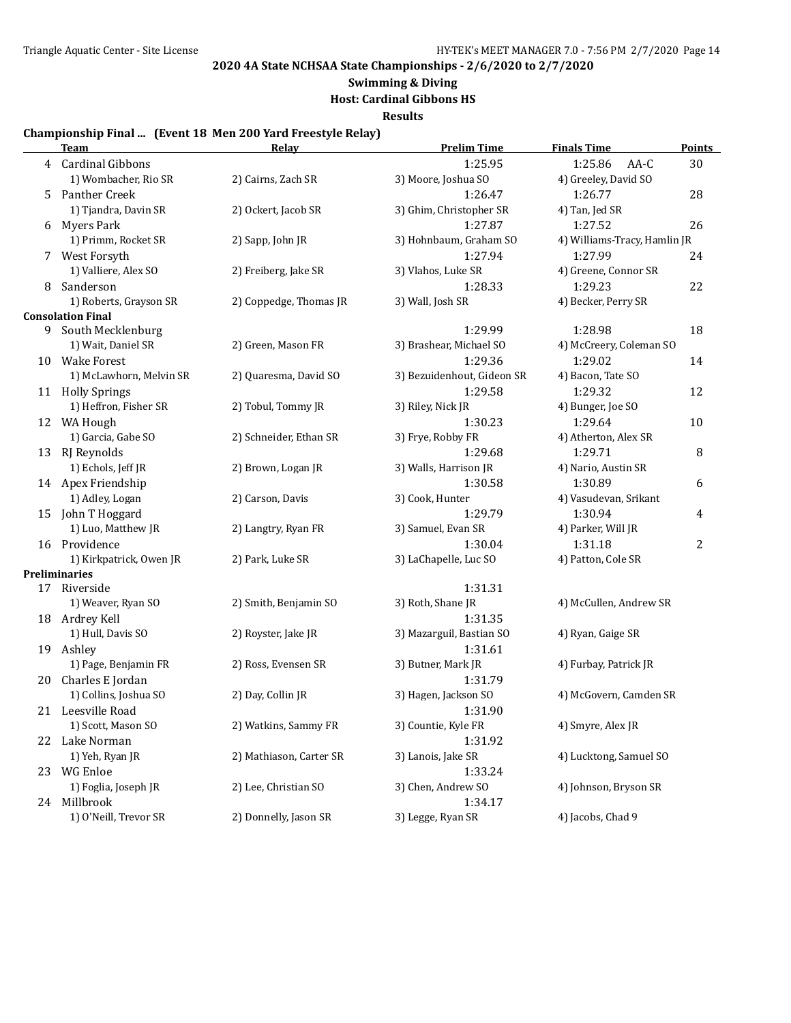# **Swimming & Diving**

**Host: Cardinal Gibbons HS**

**Results**

#### **Championship Final ... (Event 18 Men 200 Yard Freestyle Relay)**

|    | <b>Team</b>              | <b>Relay</b>            | <b>Prelim Time</b>         | <b>Finals Time</b>           | <b>Points</b>  |
|----|--------------------------|-------------------------|----------------------------|------------------------------|----------------|
| 4  | Cardinal Gibbons         |                         | 1:25.95                    | 1:25.86<br>AA-C              | 30             |
|    | 1) Wombacher, Rio SR     | 2) Cairns, Zach SR      | 3) Moore, Joshua SO        | 4) Greeley, David SO         |                |
| 5. | Panther Creek            |                         | 1:26.47                    | 1:26.77                      | 28             |
|    | 1) Tjandra, Davin SR     | 2) Ockert, Jacob SR     | 3) Ghim, Christopher SR    | 4) Tan, Jed SR               |                |
| 6  | <b>Myers Park</b>        |                         | 1:27.87                    | 1:27.52                      | 26             |
|    | 1) Primm, Rocket SR      | 2) Sapp, John JR        | 3) Hohnbaum, Graham SO     | 4) Williams-Tracy, Hamlin JR |                |
| 7  | West Forsyth             |                         | 1:27.94                    | 1:27.99                      | 24             |
|    | 1) Valliere, Alex SO     | 2) Freiberg, Jake SR    | 3) Vlahos, Luke SR         | 4) Greene, Connor SR         |                |
| 8  | Sanderson                |                         | 1:28.33                    | 1:29.23                      | 22             |
|    | 1) Roberts, Grayson SR   | 2) Coppedge, Thomas JR  | 3) Wall, Josh SR           | 4) Becker, Perry SR          |                |
|    | <b>Consolation Final</b> |                         |                            |                              |                |
| 9  | South Mecklenburg        |                         | 1:29.99                    | 1:28.98                      | 18             |
|    | 1) Wait, Daniel SR       | 2) Green, Mason FR      | 3) Brashear, Michael SO    | 4) McCreery, Coleman SO      |                |
|    | 10 Wake Forest           |                         | 1:29.36                    | 1:29.02                      | 14             |
|    | 1) McLawhorn, Melvin SR  | 2) Quaresma, David SO   | 3) Bezuidenhout, Gideon SR | 4) Bacon, Tate SO            |                |
|    | 11 Holly Springs         |                         | 1:29.58                    | 1:29.32                      | 12             |
|    | 1) Heffron, Fisher SR    | 2) Tobul, Tommy JR      | 3) Riley, Nick JR          | 4) Bunger, Joe SO            |                |
|    | 12 WA Hough              |                         | 1:30.23                    | 1:29.64                      | 10             |
|    | 1) Garcia, Gabe SO       | 2) Schneider, Ethan SR  | 3) Frye, Robby FR          | 4) Atherton, Alex SR         |                |
|    | 13 RJ Reynolds           |                         | 1:29.68                    | 1:29.71                      | 8              |
|    | 1) Echols, Jeff JR       | 2) Brown, Logan JR      | 3) Walls, Harrison JR      | 4) Nario, Austin SR          |                |
|    | 14 Apex Friendship       |                         | 1:30.58                    | 1:30.89                      | 6              |
|    | 1) Adley, Logan          | 2) Carson, Davis        | 3) Cook, Hunter            | 4) Vasudevan, Srikant        |                |
|    | 15 John T Hoggard        |                         | 1:29.79                    | 1:30.94                      | 4              |
|    | 1) Luo, Matthew JR       | 2) Langtry, Ryan FR     | 3) Samuel, Evan SR         | 4) Parker, Will JR           |                |
|    | 16 Providence            |                         | 1:30.04                    | 1:31.18                      | $\overline{c}$ |
|    | 1) Kirkpatrick, Owen JR  | 2) Park, Luke SR        | 3) LaChapelle, Luc SO      | 4) Patton, Cole SR           |                |
|    | <b>Preliminaries</b>     |                         |                            |                              |                |
|    | 17 Riverside             |                         | 1:31.31                    |                              |                |
|    | 1) Weaver, Ryan SO       | 2) Smith, Benjamin SO   | 3) Roth, Shane JR          | 4) McCullen, Andrew SR       |                |
|    | 18 Ardrey Kell           |                         | 1:31.35                    |                              |                |
|    | 1) Hull, Davis SO        | 2) Royster, Jake JR     | 3) Mazarguil, Bastian SO   | 4) Ryan, Gaige SR            |                |
|    | 19 Ashley                |                         | 1:31.61                    |                              |                |
|    | 1) Page, Benjamin FR     | 2) Ross, Evensen SR     | 3) Butner, Mark JR         | 4) Furbay, Patrick JR        |                |
| 20 | Charles E Jordan         |                         | 1:31.79                    |                              |                |
|    | 1) Collins, Joshua SO    | 2) Day, Collin JR       | 3) Hagen, Jackson SO       | 4) McGovern, Camden SR       |                |
|    | 21 Leesville Road        |                         | 1:31.90                    |                              |                |
|    | 1) Scott, Mason SO       | 2) Watkins, Sammy FR    | 3) Countie, Kyle FR        | 4) Smyre, Alex JR            |                |
|    | 22 Lake Norman           |                         | 1:31.92                    |                              |                |
|    | 1) Yeh, Ryan JR          | 2) Mathiason, Carter SR | 3) Lanois, Jake SR         | 4) Lucktong, Samuel SO       |                |
|    | 23 WG Enloe              |                         | 1:33.24                    |                              |                |
|    | 1) Foglia, Joseph JR     | 2) Lee, Christian SO    | 3) Chen, Andrew SO         | 4) Johnson, Bryson SR        |                |
|    | 24 Millbrook             |                         | 1:34.17                    |                              |                |
|    | 1) O'Neill, Trevor SR    | 2) Donnelly, Jason SR   | 3) Legge, Ryan SR          | 4) Jacobs, Chad 9            |                |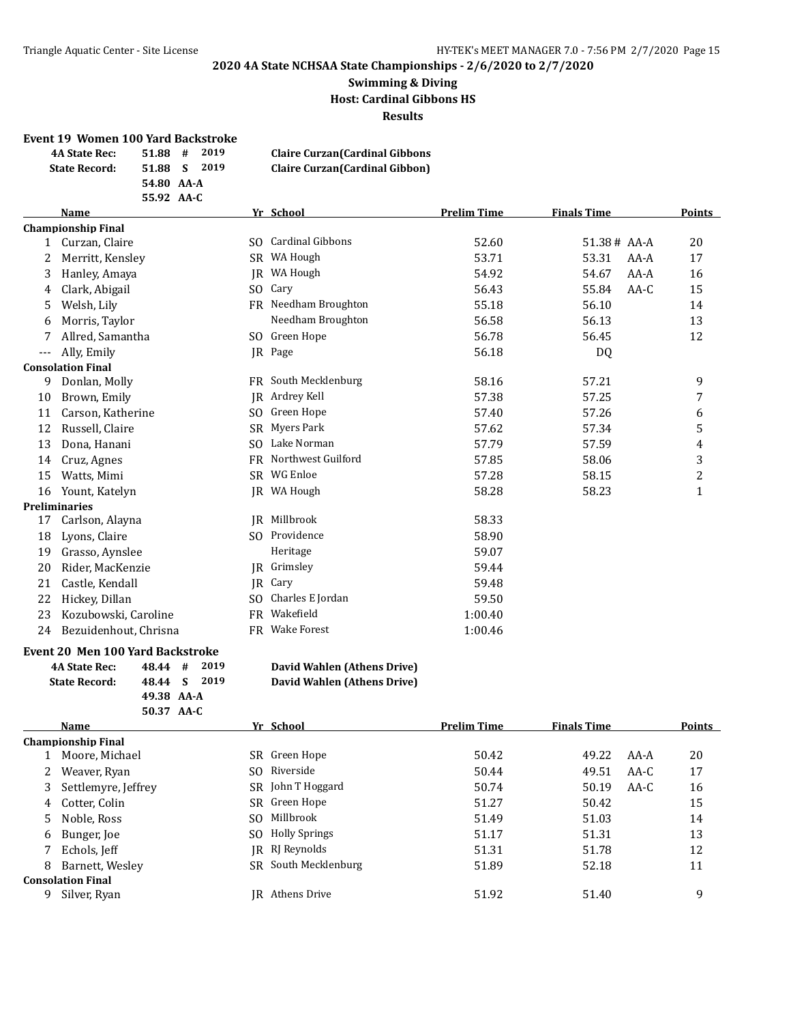#### **Swimming & Diving Host: Cardinal Gibbons HS Results**

#### **Event 19 Women 100 Yard Backstroke**

| <b>4A State Rec:</b> | 2019<br>#<br>51.88 | <b>Claire Curzan (Cardinal Gibbons</b> |
|----------------------|--------------------|----------------------------------------|
| <b>State Record:</b> | 51.88 S 2019       | <b>Claire Curzan (Cardinal Gibbon)</b> |
|                      | 54.80 AA-A         |                                        |
|                      | 55.92 AA-C         |                                        |

# **Name Yr School Prelim Time Finals Time Points**

|     | <b>Championship Final</b> |     |                     |         |             |        |              |
|-----|---------------------------|-----|---------------------|---------|-------------|--------|--------------|
| 1   | Curzan, Claire            |     | SO Cardinal Gibbons | 52.60   | 51.38# AA-A |        | 20           |
| 2   | Merritt, Kensley          | SR  | WA Hough            | 53.71   | 53.31       | $AA-A$ | 17           |
| 3   | Hanley, Amaya             | IR  | WA Hough            | 54.92   | 54.67       | $AA-A$ | 16           |
| 4   | Clark, Abigail            | SO. | Cary                | 56.43   | 55.84       | $AA-C$ | 15           |
| 5   | Welsh, Lily               | FR  | Needham Broughton   | 55.18   | 56.10       |        | 14           |
| 6   | Morris, Taylor            |     | Needham Broughton   | 56.58   | 56.13       |        | 13           |
| 7   | Allred, Samantha          | SO. | Green Hope          | 56.78   | 56.45       |        | 12           |
| --- | Ally, Emily               |     | JR Page             | 56.18   | DQ          |        |              |
|     | <b>Consolation Final</b>  |     |                     |         |             |        |              |
| 9   | Donlan, Molly             | FR  | South Mecklenburg   | 58.16   | 57.21       |        | 9            |
| 10  | Brown, Emily              | IR  | Ardrey Kell         | 57.38   | 57.25       |        | 7            |
| 11  | Carson, Katherine         | SO. | Green Hope          | 57.40   | 57.26       |        | 6            |
| 12  | Russell, Claire           | SR. | Myers Park          | 57.62   | 57.34       |        | 5            |
| 13  | Dona, Hanani              | SO. | Lake Norman         | 57.79   | 57.59       |        | 4            |
| 14  | Cruz, Agnes               | FR  | Northwest Guilford  | 57.85   | 58.06       |        | 3            |
| 15  | Watts, Mimi               |     | SR WG Enloe         | 57.28   | 58.15       |        | 2            |
| 16  | Yount, Katelyn            |     | IR WA Hough         | 58.28   | 58.23       |        | $\mathbf{1}$ |
|     | <b>Preliminaries</b>      |     |                     |         |             |        |              |
| 17  | Carlson, Alayna           | IR  | Millbrook           | 58.33   |             |        |              |
| 18  | Lyons, Claire             | SO. | Providence          | 58.90   |             |        |              |
| 19  | Grasso, Aynslee           |     | Heritage            | 59.07   |             |        |              |
| 20  | Rider, MacKenzie          |     | IR Grimsley         | 59.44   |             |        |              |
| 21  | Castle, Kendall           | IR  | Cary                | 59.48   |             |        |              |
| 22  | Hickey, Dillan            | SO. | Charles E Jordan    | 59.50   |             |        |              |
| 23  | Kozubowski, Caroline      | FR  | Wakefield           | 1:00.40 |             |        |              |
| 24  | Bezuidenhout, Chrisna     | FR  | <b>Wake Forest</b>  | 1:00.46 |             |        |              |
|     |                           |     |                     |         |             |        |              |

#### **Event 20 Men 100 Yard Backstroke**

| <b>4A State Rec:</b> | 48.44 # 2019 |  |
|----------------------|--------------|--|
| <b>State Record:</b> | 48.44 S 2019 |  |
|                      | 49.38 AA-A   |  |
|                      | 50.37 AA-C   |  |

# **David Wahlen (Athens Drive)**

|  | David Wahlen (Athens Drive) |  |
|--|-----------------------------|--|

|   | Name                      |     | Yr School              | <b>Prelim Time</b> | <b>Finals Time</b> |      | Points |
|---|---------------------------|-----|------------------------|--------------------|--------------------|------|--------|
|   | <b>Championship Final</b> |     |                        |                    |                    |      |        |
|   | Moore, Michael            |     | SR Green Hope          | 50.42              | 49.22              | AA-A | 20     |
|   | Weaver, Ryan              | SO. | Riverside              | 50.44              | 49.51              | AA-C | 17     |
|   | 3 Settlemyre, Jeffrey     |     | SR John T Hoggard      | 50.74              | 50.19              | AA-C | 16     |
|   | 4 Cotter, Colin           |     | SR Green Hope          | 51.27              | 50.42              |      | 15     |
|   | 5 Noble, Ross             | SO. | Millbrook              | 51.49              | 51.03              |      | 14     |
| 6 | Bunger, Joe               |     | SO Holly Springs       | 51.17              | 51.31              |      | 13     |
|   | Echols, Jeff              |     | IR RI Reynolds         | 51.31              | 51.78              |      | 12     |
| 8 | Barnett, Wesley           |     | SR South Mecklenburg   | 51.89              | 52.18              |      | 11     |
|   | <b>Consolation Final</b>  |     |                        |                    |                    |      |        |
| 9 | Silver, Ryan              |     | <b>IR</b> Athens Drive | 51.92              | 51.40              |      | 9      |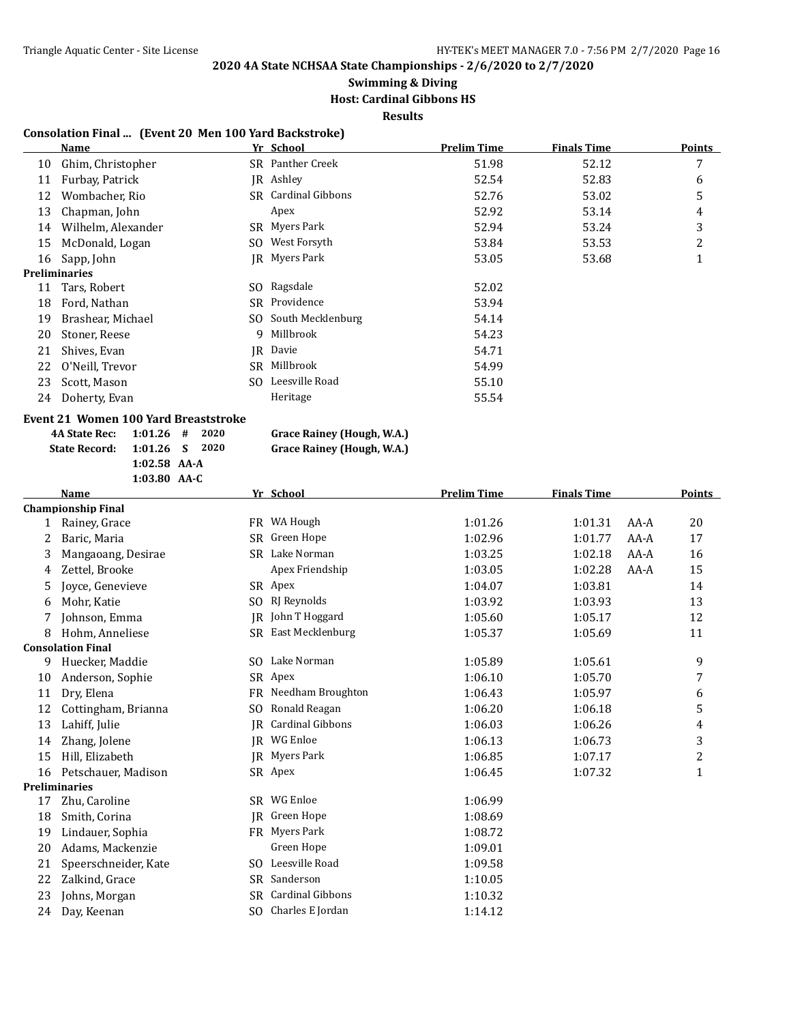# **Swimming & Diving**

## **Host: Cardinal Gibbons HS**

**Results**

#### **Consolation Final ... (Event 20 Men 100 Yard Backstroke)**

|    | Name                 |     | Yr School            | <b>Prelim Time</b> | <b>Finals Time</b> | Points |
|----|----------------------|-----|----------------------|--------------------|--------------------|--------|
| 10 | Ghim, Christopher    |     | SR Panther Creek     | 51.98              | 52.12              | 7      |
| 11 | Furbay, Patrick      |     | JR Ashley            | 52.54              | 52.83              | 6      |
| 12 | Wombacher, Rio       |     | SR Cardinal Gibbons  | 52.76              | 53.02              | 5      |
| 13 | Chapman, John        |     | Apex                 | 52.92              | 53.14              | 4      |
| 14 | Wilhelm, Alexander   |     | SR Myers Park        | 52.94              | 53.24              | 3      |
| 15 | McDonald, Logan      | SO. | West Forsyth         | 53.84              | 53.53              | 2      |
| 16 | Sapp, John           |     | <b>IR</b> Myers Park | 53.05              | 53.68              |        |
|    | <b>Preliminaries</b> |     |                      |                    |                    |        |
| 11 | Tars, Robert         |     | SO Ragsdale          | 52.02              |                    |        |
| 18 | Ford, Nathan         |     | SR Providence        | 53.94              |                    |        |
| 19 | Brashear, Michael    |     | SO South Mecklenburg | 54.14              |                    |        |
| 20 | Stoner, Reese        | 9   | Millbrook            | 54.23              |                    |        |
| 21 | Shives, Evan         | IR  | Davie                | 54.71              |                    |        |
| 22 | O'Neill, Trevor      | SR. | Millbrook            | 54.99              |                    |        |
| 23 | Scott, Mason         | SO. | Leesville Road       | 55.10              |                    |        |
| 24 | Doherty, Evan        |     | Heritage             | 55.54              |                    |        |
|    |                      |     |                      |                    |                    |        |

### **Event 21 Women 100 Yard Breaststroke**

| 4A State Rec: 1:01.26 # 2020 |                |  |
|------------------------------|----------------|--|
| State Record: 1:01.26 S 2020 |                |  |
|                              | $1:02.58$ AA-A |  |
|                              | $1:03.80$ AA-C |  |

 Grace Rainey (Hough, W.A.) **State Record: 1:01.26 S 2020 Grace Rainey (Hough, W.A.)**

|  |  | _______ | $-1$ |  | $\sim$ $\sim$ $\sim$ |  |
|--|--|---------|------|--|----------------------|--|
|  |  |         |      |  |                      |  |
|  |  |         |      |  |                      |  |
|  |  |         |      |  |                      |  |

|              | <b>Name</b>               |           | Yr School               | <b>Prelim Time</b> | <b>Finals Time</b> |        | <b>Points</b> |
|--------------|---------------------------|-----------|-------------------------|--------------------|--------------------|--------|---------------|
|              | <b>Championship Final</b> |           |                         |                    |                    |        |               |
| $\mathbf{1}$ | Rainey, Grace             |           | FR WA Hough             | 1:01.26            | 1:01.31            | AA-A   | 20            |
| 2            | Baric, Maria              | SR        | Green Hope              | 1:02.96            | 1:01.77            | $AA-A$ | 17            |
| 3            | Mangaoang, Desirae        |           | SR Lake Norman          | 1:03.25            | 1:02.18            | $AA-A$ | 16            |
| 4            | Zettel, Brooke            |           | Apex Friendship         | 1:03.05            | 1:02.28            | $AA-A$ | 15            |
| 5            | Joyce, Genevieve          |           | SR Apex                 | 1:04.07            | 1:03.81            |        | 14            |
| 6            | Mohr, Katie               | SO.       | RJ Reynolds             | 1:03.92            | 1:03.93            |        | 13            |
| 7            | Johnson, Emma             | <b>IR</b> | John T Hoggard          | 1:05.60            | 1:05.17            |        | 12            |
| 8            | Hohm, Anneliese           |           | SR East Mecklenburg     | 1:05.37            | 1:05.69            |        | 11            |
|              | <b>Consolation Final</b>  |           |                         |                    |                    |        |               |
| 9            | Huecker, Maddie           | SO.       | Lake Norman             | 1:05.89            | 1:05.61            |        | 9             |
| 10           | Anderson, Sophie          |           | SR Apex                 | 1:06.10            | 1:05.70            |        | 7             |
| 11           | Dry, Elena                | FR        | Needham Broughton       | 1:06.43            | 1:05.97            |        | 6             |
| 12           | Cottingham, Brianna       | SO.       | Ronald Reagan           | 1:06.20            | 1:06.18            |        | 5             |
| 13           | Lahiff, Julie             | IR        | <b>Cardinal Gibbons</b> | 1:06.03            | 1:06.26            |        | 4             |
| 14           | Zhang, Jolene             | IR        | WG Enloe                | 1:06.13            | 1:06.73            |        | 3             |
| 15           | Hill, Elizabeth           | IR        | Myers Park              | 1:06.85            | 1:07.17            |        | 2             |
| 16           | Petschauer, Madison       |           | SR Apex                 | 1:06.45            | 1:07.32            |        | $\mathbf{1}$  |
|              | <b>Preliminaries</b>      |           |                         |                    |                    |        |               |
| 17           | Zhu, Caroline             | SR.       | WG Enloe                | 1:06.99            |                    |        |               |
| 18           | Smith, Corina             | IR.       | Green Hope              | 1:08.69            |                    |        |               |
| 19           | Lindauer, Sophia          |           | FR Myers Park           | 1:08.72            |                    |        |               |
| 20           | Adams, Mackenzie          |           | Green Hope              | 1:09.01            |                    |        |               |
| 21           | Speerschneider, Kate      |           | SO Leesville Road       | 1:09.58            |                    |        |               |
| 22           | Zalkind, Grace            | SR        | Sanderson               | 1:10.05            |                    |        |               |
| 23           | Johns, Morgan             | SR        | <b>Cardinal Gibbons</b> | 1:10.32            |                    |        |               |
| 24           | Day, Keenan               |           | SO Charles E Jordan     | 1:14.12            |                    |        |               |
|              |                           |           |                         |                    |                    |        |               |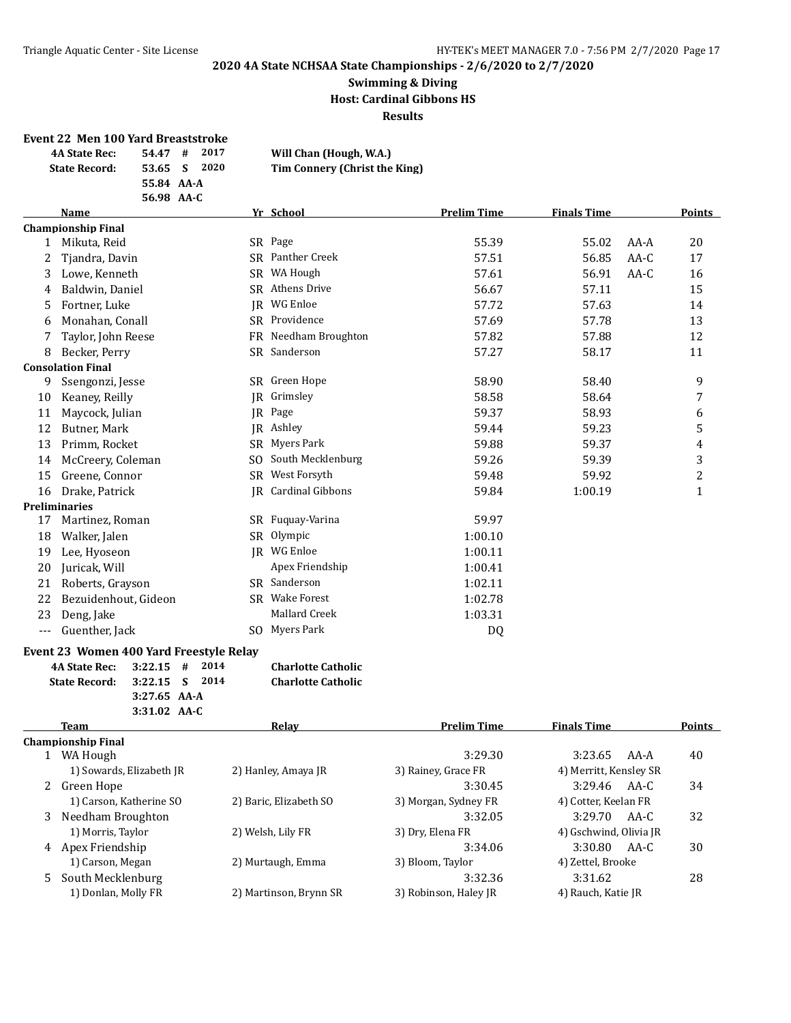#### **Swimming & Diving Host: Cardinal Gibbons HS Results**

#### **Event 22 Men 100 Yard Breaststroke**

| <b>4A State Rec:</b> | 2017<br>#<br>54.47 | Will Chan (Hough, W.A.)       |
|----------------------|--------------------|-------------------------------|
| <b>State Record:</b> | 2020<br>53.65 S    | Tim Connery (Christ the King) |
|                      | 55.84 AA-A         |                               |
|                      | 56.98 AA-C         |                               |

#### **Name Yr School Prelim Time Finals Time Points Championship Final** 1 Mikuta, Reid SR Page 55.39 55.02 AA-A 20 2 Tjandra, Davin SR Panther Creek 57.51 56.85 AA-C 17 3 Lowe, Kenneth SR WA Hough 57.61 56.91 AA-C 16 4 Baldwin, Daniel SR Athens Drive 56.67 57.11 15 5 Fortner, Luke 14 IR WG Enloe 57.72 57.63 14 6 Monahan, Conall SR Providence 57.69 57.78 13 7 Taylor, John Reese FR Needham Broughton 57.82 57.88 12 8 Becker, Perry SR Sanderson 57.27 58.17 11 **Consolation Final** 9 Ssengonzi, Jesse SR Green Hope 58.90 58.40 58.40 9 10 Keaney, Reilly **10 Keaney, Reilly** JR Grimsley **58.58** 58.58 58.64 7 11 Maycock, Julian **JR** Page 59.37 58.93 6 12 Butner, Mark JR Ashley 59.44 59.23 5 13 Primm, Rocket SR Myers Park 59.88 59.37 4 14 McCreery, Coleman SO South Mecklenburg 59.26 59.39 59.39 3 15 Greene, Connor SR West Forsyth 59.48 59.92 2 16 Drake, Patrick **IR** Cardinal Gibbons 59.84 1:00.19 1 **Preliminaries** 17 Martinez, Roman SR Fuquay-Varina 59.97 18 Walker, Jalen SR Olympic 1:00.10 19 Lee, Hyoseon JR WG Enloe 1:00.11 20 Juricak, Will Apex Friendship 1:00.41 21 Roberts, Grayson SR Sanderson 1:02.11 22 Bezuidenhout, Gideon SR Wake Forest 1:02.78 23 Deng, Jake Mallard Creek 1:03.31 --- Guenther, Jack SO Myers Park DQ **Event 23 Women 400 Yard Freestyle Relay 4A State Rec: 3:22.15 # 2014 Charlotte Catholic**

| ----------------             |                |                           |
|------------------------------|----------------|---------------------------|
| State Record: 3:22.15 S 2014 |                | <b>Charlotte Catholic</b> |
|                              | $3:27.65$ AA-A |                           |
|                              | $3:31.02$ AA-C |                           |

|   | Team                      | Relay                  | <b>Prelim Time</b>    | <b>Finals Time</b>     | Points |
|---|---------------------------|------------------------|-----------------------|------------------------|--------|
|   | <b>Championship Final</b> |                        |                       |                        |        |
|   | WA Hough                  |                        | 3:29.30               | 3:23.65<br>AA-A        | 40     |
|   | 1) Sowards, Elizabeth JR  | 2) Hanley, Amaya JR    | 3) Rainey, Grace FR   | 4) Merritt, Kensley SR |        |
| 2 | Green Hope                |                        | 3:30.45               | 3:29.46<br>AA-C        | 34     |
|   | 1) Carson, Katherine SO   | 2) Baric, Elizabeth SO | 3) Morgan, Sydney FR  | 4) Cotter, Keelan FR   |        |
| 3 | Needham Broughton         |                        | 3:32.05               | 3:29.70<br>AA-C        | 32     |
|   | 1) Morris, Taylor         | 2) Welsh, Lily FR      | 3) Dry, Elena FR      | 4) Gschwind, Olivia JR |        |
| 4 | Apex Friendship           |                        | 3:34.06               | 3:30.80<br>AA-C        | 30     |
|   | 1) Carson, Megan          | 2) Murtaugh, Emma      | 3) Bloom, Taylor      | 4) Zettel, Brooke      |        |
| 5 | South Mecklenburg         |                        | 3:32.36               | 3:31.62                | 28     |
|   | 1) Donlan, Molly FR       | 2) Martinson, Brynn SR | 3) Robinson, Haley JR | 4) Rauch, Katie JR     |        |
|   |                           |                        |                       |                        |        |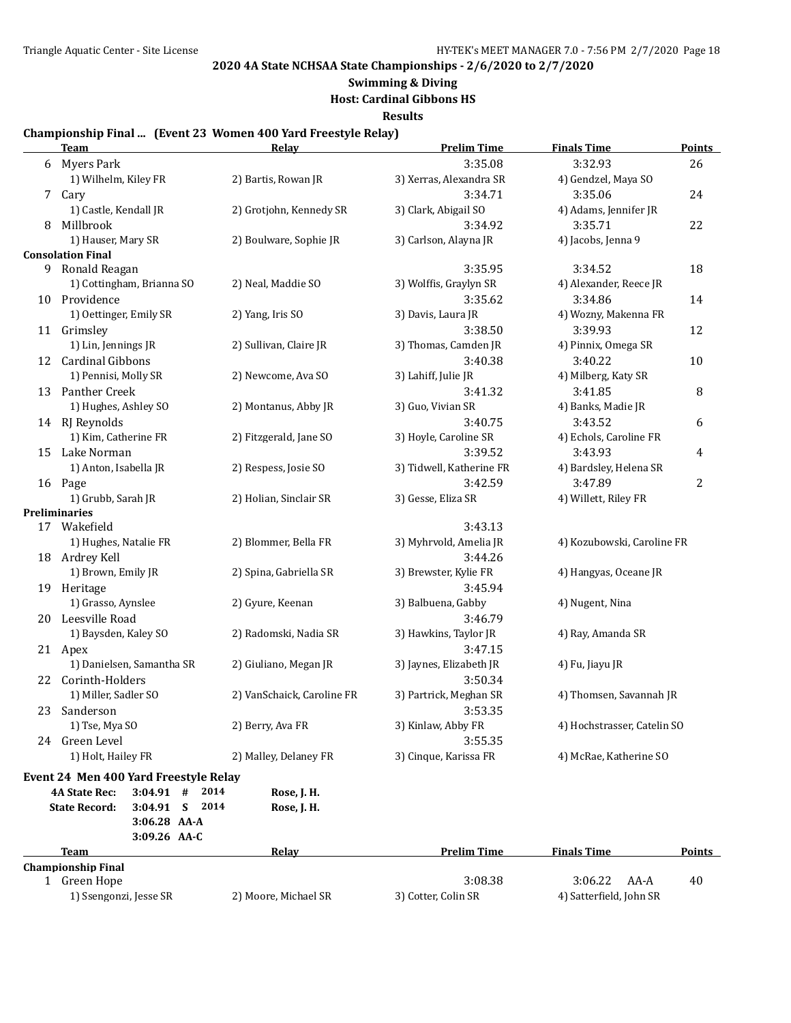## **Swimming & Diving**

**Host: Cardinal Gibbons HS**

**Results**

#### **Championship Final ... (Event 23 Women 400 Yard Freestyle Relay)**

|    | <b>Team</b>                                                                          | Relay                      | <b>Prelim Time</b>       | <b>Finals Time</b>          | <b>Points</b> |
|----|--------------------------------------------------------------------------------------|----------------------------|--------------------------|-----------------------------|---------------|
|    | 6 Myers Park                                                                         |                            | 3:35.08                  | 3:32.93                     | 26            |
|    | 1) Wilhelm, Kiley FR                                                                 | 2) Bartis, Rowan JR        | 3) Xerras, Alexandra SR  | 4) Gendzel, Maya SO         |               |
| 7  | Cary                                                                                 |                            | 3:34.71                  | 3:35.06                     | 24            |
|    | 1) Castle, Kendall JR                                                                | 2) Grotjohn, Kennedy SR    | 3) Clark, Abigail SO     | 4) Adams, Jennifer JR       |               |
| 8  | Millbrook                                                                            |                            | 3:34.92                  | 3:35.71                     | 22            |
|    | 1) Hauser, Mary SR                                                                   | 2) Boulware, Sophie JR     | 3) Carlson, Alayna JR    | 4) Jacobs, Jenna 9          |               |
|    | <b>Consolation Final</b>                                                             |                            |                          |                             |               |
| 9  | Ronald Reagan                                                                        |                            | 3:35.95                  | 3:34.52                     | 18            |
|    | 1) Cottingham, Brianna SO                                                            | 2) Neal, Maddie SO         | 3) Wolffis, Graylyn SR   | 4) Alexander, Reece JR      |               |
|    | 10 Providence                                                                        |                            | 3:35.62                  | 3:34.86                     | 14            |
|    | 1) Oettinger, Emily SR                                                               | 2) Yang, Iris SO           | 3) Davis, Laura JR       | 4) Wozny, Makenna FR        |               |
|    | 11 Grimsley                                                                          |                            | 3:38.50                  | 3:39.93                     | 12            |
|    | 1) Lin, Jennings JR                                                                  | 2) Sullivan, Claire JR     | 3) Thomas, Camden JR     | 4) Pinnix, Omega SR         |               |
|    | 12 Cardinal Gibbons                                                                  |                            | 3:40.38                  | 3:40.22                     | 10            |
|    | 1) Pennisi, Molly SR                                                                 | 2) Newcome, Ava SO         | 3) Lahiff, Julie JR      | 4) Milberg, Katy SR         |               |
| 13 | Panther Creek                                                                        |                            | 3:41.32                  | 3:41.85                     | 8             |
|    | 1) Hughes, Ashley SO                                                                 | 2) Montanus, Abby JR       | 3) Guo, Vivian SR        | 4) Banks, Madie JR          |               |
|    | 14 RJ Reynolds                                                                       |                            | 3:40.75                  | 3:43.52                     | 6             |
|    | 1) Kim, Catherine FR                                                                 | 2) Fitzgerald, Jane SO     | 3) Hoyle, Caroline SR    | 4) Echols, Caroline FR      |               |
|    | 15 Lake Norman                                                                       |                            | 3:39.52                  | 3:43.93                     | 4             |
|    | 1) Anton, Isabella JR                                                                | 2) Respess, Josie SO       | 3) Tidwell, Katherine FR | 4) Bardsley, Helena SR      |               |
|    | 16 Page                                                                              |                            | 3:42.59                  | 3:47.89                     | 2             |
|    | 1) Grubb, Sarah JR                                                                   | 2) Holian, Sinclair SR     | 3) Gesse, Eliza SR       | 4) Willett, Riley FR        |               |
|    | <b>Preliminaries</b>                                                                 |                            |                          |                             |               |
|    | 17 Wakefield                                                                         |                            | 3:43.13                  |                             |               |
|    | 1) Hughes, Natalie FR                                                                | 2) Blommer, Bella FR       | 3) Myhrvold, Amelia JR   | 4) Kozubowski, Caroline FR  |               |
|    | 18 Ardrey Kell                                                                       |                            | 3:44.26                  |                             |               |
|    | 1) Brown, Emily JR                                                                   | 2) Spina, Gabriella SR     | 3) Brewster, Kylie FR    | 4) Hangyas, Oceane JR       |               |
|    | 19 Heritage                                                                          |                            | 3:45.94                  |                             |               |
|    | 1) Grasso, Aynslee                                                                   | 2) Gyure, Keenan           | 3) Balbuena, Gabby       | 4) Nugent, Nina             |               |
| 20 | Leesville Road                                                                       |                            | 3:46.79                  |                             |               |
|    | 1) Baysden, Kaley SO                                                                 | 2) Radomski, Nadia SR      | 3) Hawkins, Taylor JR    | 4) Ray, Amanda SR           |               |
|    | 21 Apex                                                                              |                            | 3:47.15                  |                             |               |
|    | 1) Danielsen, Samantha SR                                                            | 2) Giuliano, Megan JR      | 3) Jaynes, Elizabeth JR  | 4) Fu, Jiayu JR             |               |
|    | 22 Corinth-Holders                                                                   |                            | 3:50.34                  |                             |               |
|    | 1) Miller, Sadler SO                                                                 | 2) VanSchaick, Caroline FR | 3) Partrick, Meghan SR   | 4) Thomsen, Savannah JR     |               |
| 23 | Sanderson                                                                            |                            | 3:53.35                  |                             |               |
|    | 1) Tse, Mya SO                                                                       | 2) Berry, Ava FR           | 3) Kinlaw, Abby FR       | 4) Hochstrasser, Catelin SO |               |
|    | 24 Green Level                                                                       |                            | 3:55.35                  |                             |               |
|    | 1) Holt, Hailey FR                                                                   | 2) Malley, Delaney FR      | 3) Cinque, Karissa FR    | 4) McRae, Katherine SO      |               |
|    |                                                                                      |                            |                          |                             |               |
|    | Event 24 Men 400 Yard Freestyle Relay<br>$3:04.91$ #<br>2014<br><b>4A State Rec:</b> | Rose, J. H.                |                          |                             |               |
|    | 2014<br><b>State Record:</b><br>3:04.91 S                                            | Rose, J. H.                |                          |                             |               |
|    | 3:06.28 AA-A                                                                         |                            |                          |                             |               |
|    | 3:09.26 AA-C                                                                         |                            |                          |                             |               |
|    | <b>Team</b>                                                                          | Relay                      | <b>Prelim Time</b>       | <b>Finals Time</b>          | <b>Points</b> |
|    | <b>Championship Final</b>                                                            |                            |                          |                             |               |
|    | 1 Green Hope                                                                         |                            | 3:08.38                  | 3:06.22<br>AA-A             | 40            |
|    | 1) Ssengonzi, Jesse SR                                                               | 2) Moore, Michael SR       | 3) Cotter, Colin SR      | 4) Satterfield, John SR     |               |
|    |                                                                                      |                            |                          |                             |               |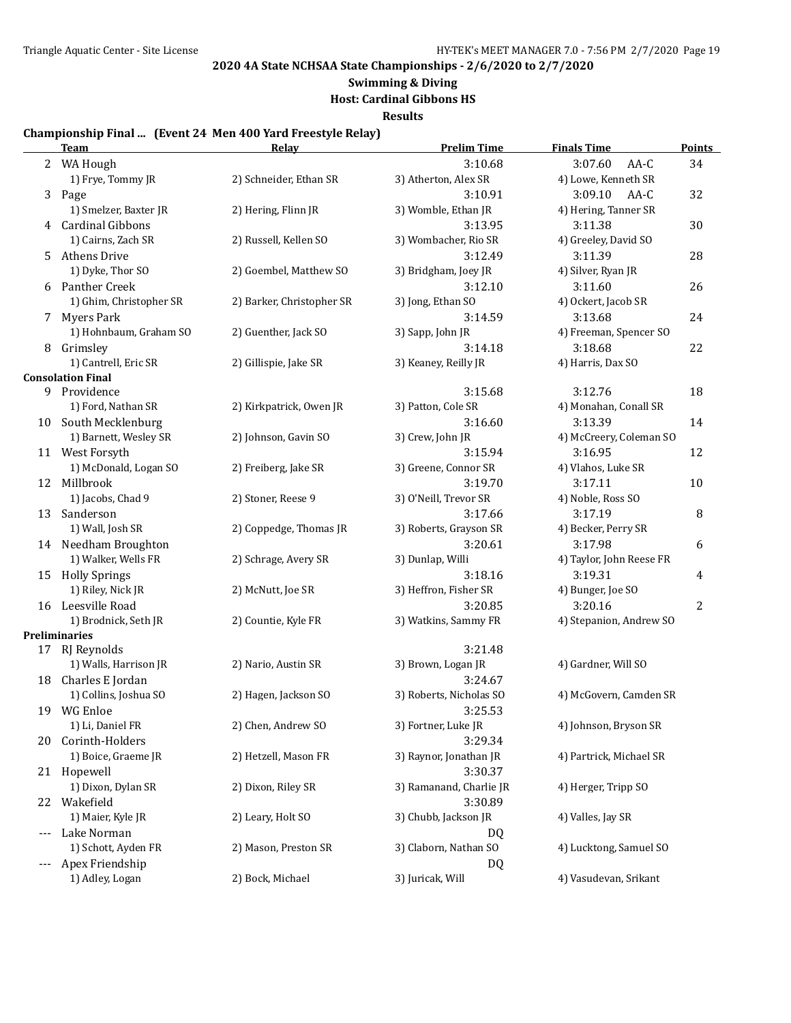# **Swimming & Diving**

**Host: Cardinal Gibbons HS**

**Results**

#### **Championship Final ... (Event 24 Men 400 Yard Freestyle Relay)**

|       | <b>Team</b>              | Relay                     | <b>Prelim Time</b>      | <b>Finals Time</b>       | Points         |
|-------|--------------------------|---------------------------|-------------------------|--------------------------|----------------|
|       | 2 WA Hough               |                           | 3:10.68                 | 3:07.60<br>AA-C          | 34             |
|       | 1) Frye, Tommy JR        | 2) Schneider, Ethan SR    | 3) Atherton, Alex SR    | 4) Lowe, Kenneth SR      |                |
| 3     | Page                     |                           | 3:10.91                 | 3:09.10<br>AA-C          | 32             |
|       | 1) Smelzer, Baxter JR    | 2) Hering, Flinn JR       | 3) Womble, Ethan JR     | 4) Hering, Tanner SR     |                |
| 4     | <b>Cardinal Gibbons</b>  |                           | 3:13.95                 | 3:11.38                  | 30             |
|       | 1) Cairns, Zach SR       | 2) Russell, Kellen SO     | 3) Wombacher, Rio SR    | 4) Greeley, David SO     |                |
| 5     | <b>Athens Drive</b>      |                           | 3:12.49                 | 3:11.39                  | 28             |
|       | 1) Dyke, Thor SO         | 2) Goembel, Matthew SO    | 3) Bridgham, Joey JR    | 4) Silver, Ryan JR       |                |
| 6     | Panther Creek            |                           | 3:12.10                 | 3:11.60                  | 26             |
|       | 1) Ghim, Christopher SR  | 2) Barker, Christopher SR | 3) Jong, Ethan SO       | 4) Ockert, Jacob SR      |                |
| 7     | <b>Myers Park</b>        |                           | 3:14.59                 | 3:13.68                  | 24             |
|       | 1) Hohnbaum, Graham SO   | 2) Guenther, Jack SO      | 3) Sapp, John JR        | 4) Freeman, Spencer SO   |                |
| 8     | Grimsley                 |                           | 3:14.18                 | 3:18.68                  | 22             |
|       | 1) Cantrell, Eric SR     | 2) Gillispie, Jake SR     | 3) Keaney, Reilly JR    | 4) Harris, Dax SO        |                |
|       | <b>Consolation Final</b> |                           |                         |                          |                |
| 9     | Providence               |                           | 3:15.68                 | 3:12.76                  | 18             |
|       | 1) Ford, Nathan SR       | 2) Kirkpatrick, Owen JR   | 3) Patton, Cole SR      | 4) Monahan, Conall SR    |                |
|       | 10 South Mecklenburg     |                           | 3:16.60                 | 3:13.39<br>14            |                |
|       | 1) Barnett, Wesley SR    | 2) Johnson, Gavin SO      | 3) Crew, John JR        | 4) McCreery, Coleman SO  |                |
|       | 11 West Forsyth          |                           | 3:15.94                 | 3:16.95                  | 12             |
|       | 1) McDonald, Logan SO    | 2) Freiberg, Jake SR      | 3) Greene, Connor SR    | 4) Vlahos, Luke SR       |                |
|       | 12 Millbrook             |                           | 3:19.70                 | 3:17.11                  | 10             |
|       | 1) Jacobs, Chad 9        | 2) Stoner, Reese 9        | 3) O'Neill, Trevor SR   | 4) Noble, Ross SO        |                |
| 13    | Sanderson                |                           | 3:17.66                 | 3:17.19                  | 8              |
|       | 1) Wall, Josh SR         | 2) Coppedge, Thomas JR    | 3) Roberts, Grayson SR  | 4) Becker, Perry SR      |                |
|       | 14 Needham Broughton     |                           | 3:20.61                 | 3:17.98                  | 6              |
|       | 1) Walker, Wells FR      | 2) Schrage, Avery SR      | 3) Dunlap, Willi        | 4) Taylor, John Reese FR |                |
|       | 15 Holly Springs         |                           | 3:18.16                 | 3:19.31                  | 4              |
|       | 1) Riley, Nick JR        | 2) McNutt, Joe SR         | 3) Heffron, Fisher SR   | 4) Bunger, Joe SO        |                |
|       | 16 Leesville Road        |                           | 3:20.85                 | 3:20.16                  | $\overline{2}$ |
|       | 1) Brodnick, Seth JR     | 2) Countie, Kyle FR       | 3) Watkins, Sammy FR    | 4) Stepanion, Andrew SO  |                |
|       | <b>Preliminaries</b>     |                           |                         |                          |                |
| 17    | RJ Reynolds              |                           | 3:21.48                 |                          |                |
|       | 1) Walls, Harrison JR    | 2) Nario, Austin SR       | 3) Brown, Logan JR      | 4) Gardner, Will SO      |                |
| 18    | Charles E Jordan         |                           | 3:24.67                 |                          |                |
|       | 1) Collins, Joshua SO    | 2) Hagen, Jackson SO      | 3) Roberts, Nicholas SO | 4) McGovern, Camden SR   |                |
|       | 19 WG Enloe              |                           | 3:25.53                 |                          |                |
|       | 1) Li, Daniel FR         | 2) Chen, Andrew SO        | 3) Fortner, Luke JR     | 4) Johnson, Bryson SR    |                |
| 20    | Corinth-Holders          |                           | 3:29.34                 |                          |                |
|       | 1) Boice, Graeme JR      | 2) Hetzell, Mason FR      | 3) Raynor, Jonathan JR  | 4) Partrick, Michael SR  |                |
|       | 21 Hopewell              |                           | 3:30.37                 |                          |                |
|       | 1) Dixon, Dylan SR       | 2) Dixon, Riley SR        | 3) Ramanand, Charlie JR | 4) Herger, Tripp SO      |                |
|       | 22 Wakefield             |                           | 3:30.89                 |                          |                |
|       | 1) Maier, Kyle JR        | 2) Leary, Holt SO         | 3) Chubb, Jackson JR    | 4) Valles, Jay SR        |                |
| $---$ | Lake Norman              |                           | DQ                      |                          |                |
|       | 1) Schott, Ayden FR      | 2) Mason, Preston SR      | 3) Claborn, Nathan SO   | 4) Lucktong, Samuel SO   |                |
| $---$ | Apex Friendship          |                           | DQ                      |                          |                |
|       | 1) Adley, Logan          | 2) Bock, Michael          | 3) Juricak, Will        | 4) Vasudevan, Srikant    |                |
|       |                          |                           |                         |                          |                |